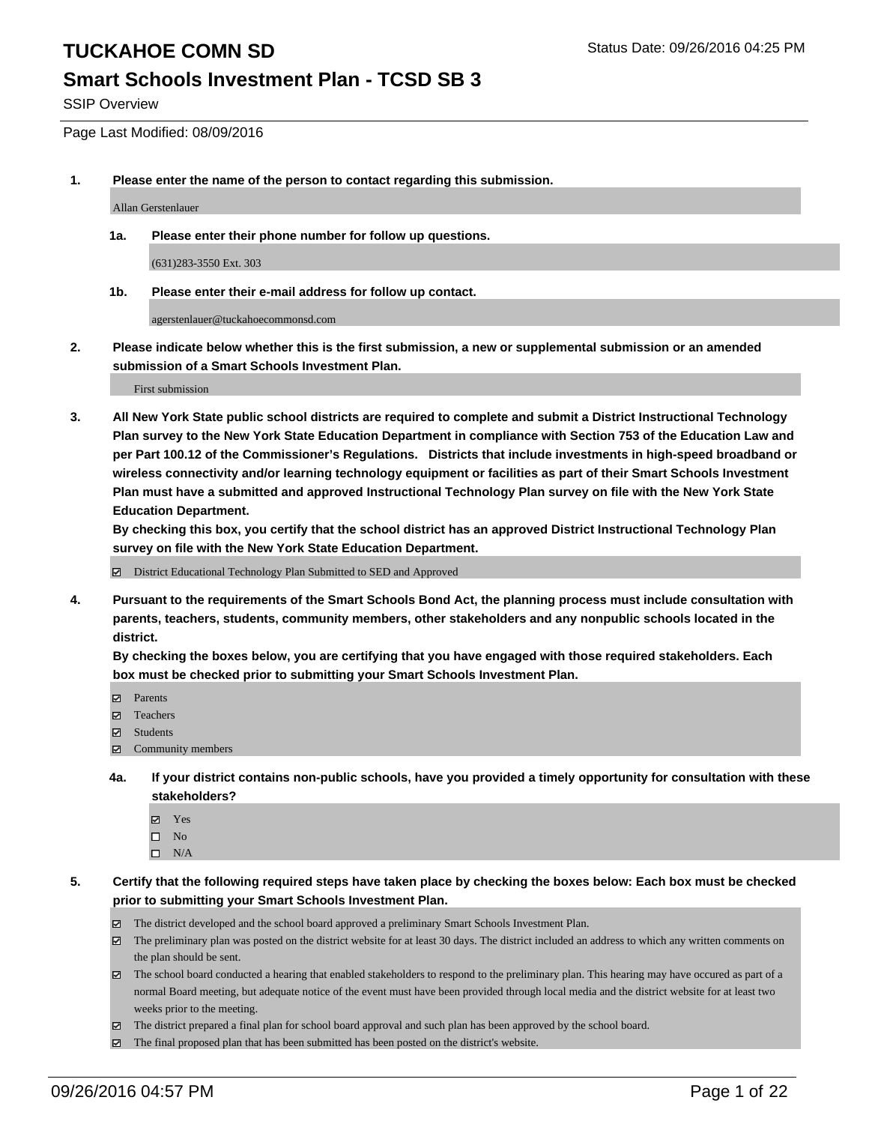#### **Smart Schools Investment Plan - TCSD SB 3**

SSIP Overview

Page Last Modified: 08/09/2016

**1. Please enter the name of the person to contact regarding this submission.**

Allan Gerstenlauer

**1a. Please enter their phone number for follow up questions.**

(631)283-3550 Ext. 303

**1b. Please enter their e-mail address for follow up contact.**

agerstenlauer@tuckahoecommonsd.com

**2. Please indicate below whether this is the first submission, a new or supplemental submission or an amended submission of a Smart Schools Investment Plan.**

First submission

**3. All New York State public school districts are required to complete and submit a District Instructional Technology Plan survey to the New York State Education Department in compliance with Section 753 of the Education Law and per Part 100.12 of the Commissioner's Regulations. Districts that include investments in high-speed broadband or wireless connectivity and/or learning technology equipment or facilities as part of their Smart Schools Investment Plan must have a submitted and approved Instructional Technology Plan survey on file with the New York State Education Department.** 

**By checking this box, you certify that the school district has an approved District Instructional Technology Plan survey on file with the New York State Education Department.**

District Educational Technology Plan Submitted to SED and Approved

**4. Pursuant to the requirements of the Smart Schools Bond Act, the planning process must include consultation with parents, teachers, students, community members, other stakeholders and any nonpublic schools located in the district.** 

**By checking the boxes below, you are certifying that you have engaged with those required stakeholders. Each box must be checked prior to submitting your Smart Schools Investment Plan.**

- Parents
- □ Teachers
- $\boxtimes$  Students
- Community members
- **4a. If your district contains non-public schools, have you provided a timely opportunity for consultation with these stakeholders?**
	- Yes  $\square$  No
	- $\square$  N/A
- **5. Certify that the following required steps have taken place by checking the boxes below: Each box must be checked prior to submitting your Smart Schools Investment Plan.**
	- The district developed and the school board approved a preliminary Smart Schools Investment Plan.
	- $\boxtimes$  The preliminary plan was posted on the district website for at least 30 days. The district included an address to which any written comments on the plan should be sent.
	- $\boxtimes$  The school board conducted a hearing that enabled stakeholders to respond to the preliminary plan. This hearing may have occured as part of a normal Board meeting, but adequate notice of the event must have been provided through local media and the district website for at least two weeks prior to the meeting.
	- The district prepared a final plan for school board approval and such plan has been approved by the school board.
	- The final proposed plan that has been submitted has been posted on the district's website.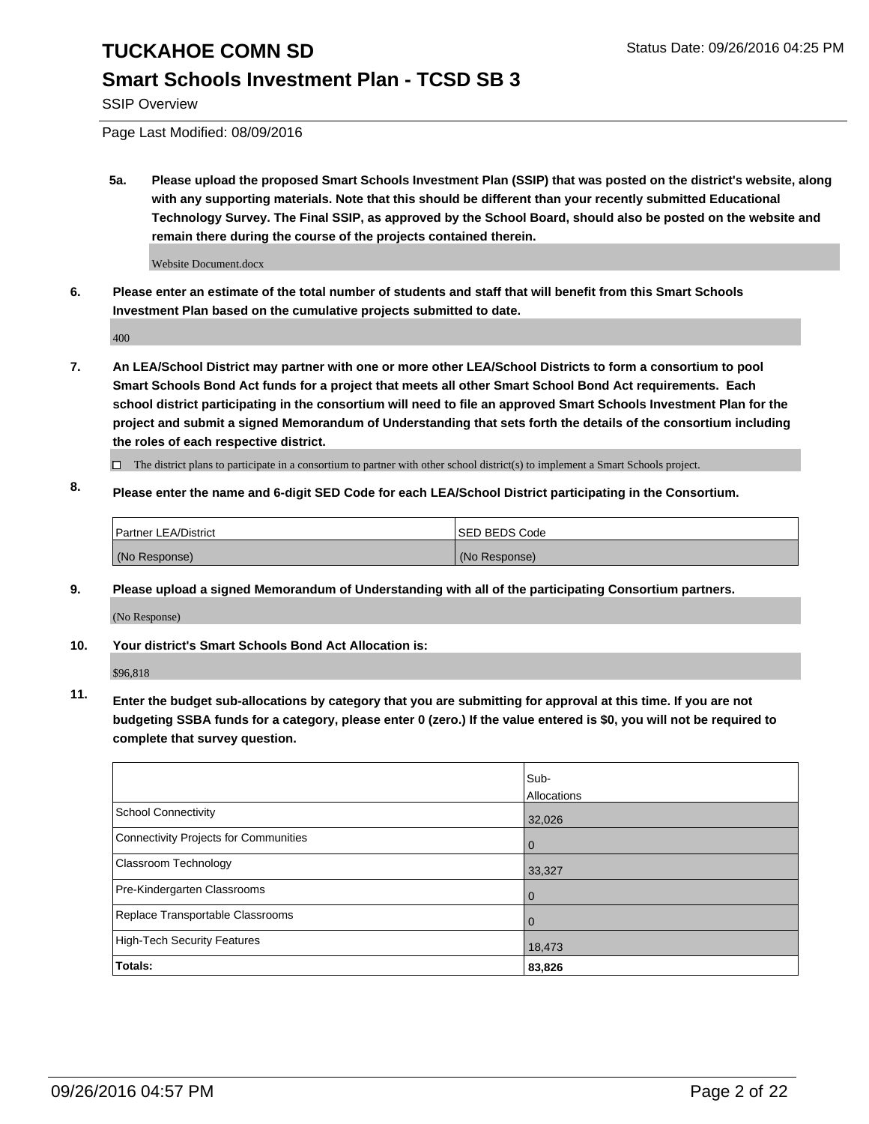## **Smart Schools Investment Plan - TCSD SB 3**

SSIP Overview

Page Last Modified: 08/09/2016

**5a. Please upload the proposed Smart Schools Investment Plan (SSIP) that was posted on the district's website, along with any supporting materials. Note that this should be different than your recently submitted Educational Technology Survey. The Final SSIP, as approved by the School Board, should also be posted on the website and remain there during the course of the projects contained therein.**

Website Document.docx

**6. Please enter an estimate of the total number of students and staff that will benefit from this Smart Schools Investment Plan based on the cumulative projects submitted to date.**

400

- **7. An LEA/School District may partner with one or more other LEA/School Districts to form a consortium to pool Smart Schools Bond Act funds for a project that meets all other Smart School Bond Act requirements. Each school district participating in the consortium will need to file an approved Smart Schools Investment Plan for the project and submit a signed Memorandum of Understanding that sets forth the details of the consortium including the roles of each respective district.**
	- $\Box$  The district plans to participate in a consortium to partner with other school district(s) to implement a Smart Schools project.
- **8. Please enter the name and 6-digit SED Code for each LEA/School District participating in the Consortium.**

| Partner LEA/District | <b>ISED BEDS Code</b> |
|----------------------|-----------------------|
| (No Response)        | (No Response)         |

**9. Please upload a signed Memorandum of Understanding with all of the participating Consortium partners.**

(No Response)

#### **10. Your district's Smart Schools Bond Act Allocation is:**

\$96,818

**11. Enter the budget sub-allocations by category that you are submitting for approval at this time. If you are not budgeting SSBA funds for a category, please enter 0 (zero.) If the value entered is \$0, you will not be required to complete that survey question.**

|                                       | Sub-<br>Allocations |
|---------------------------------------|---------------------|
| <b>School Connectivity</b>            | 32,026              |
| Connectivity Projects for Communities | O                   |
| <b>Classroom Technology</b>           | 33,327              |
| Pre-Kindergarten Classrooms           | O                   |
| Replace Transportable Classrooms      | 0                   |
| High-Tech Security Features           | 18,473              |
| Totals:                               | 83,826              |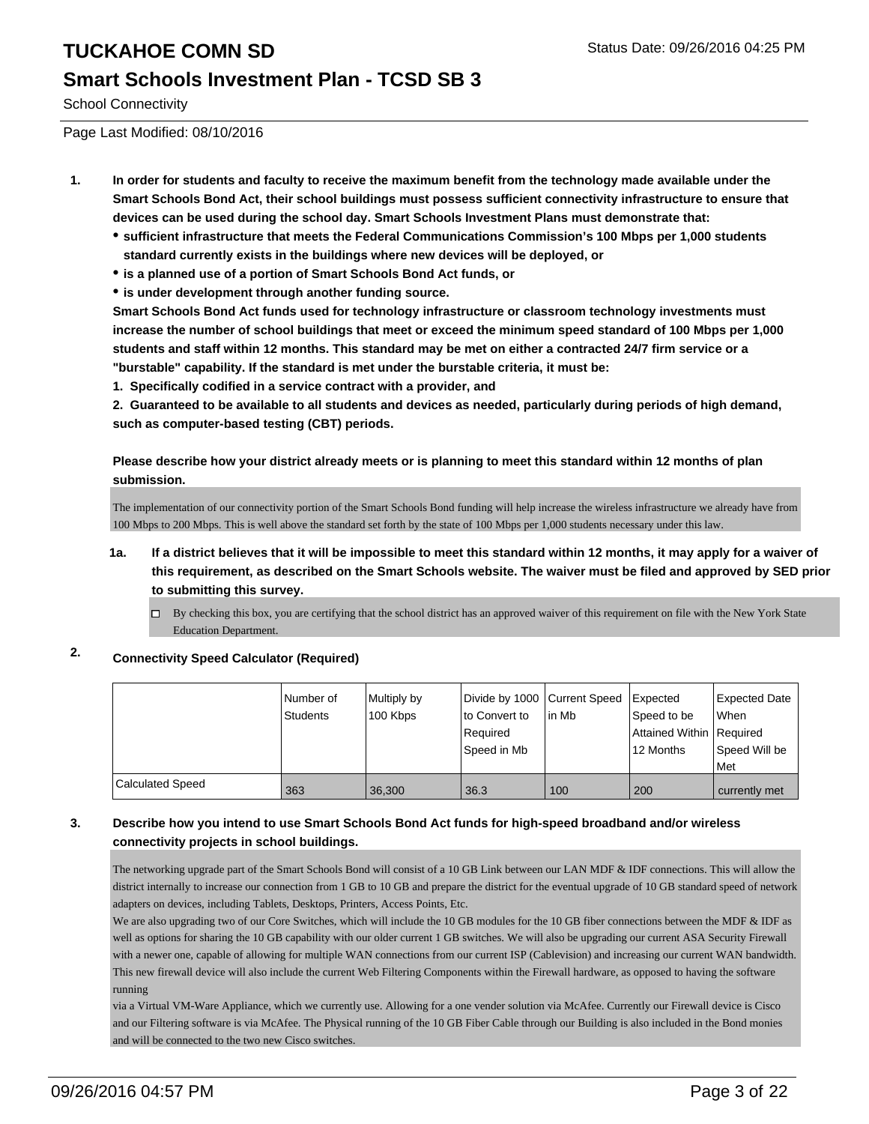### **Smart Schools Investment Plan - TCSD SB 3**

School Connectivity

Page Last Modified: 08/10/2016

- **1. In order for students and faculty to receive the maximum benefit from the technology made available under the Smart Schools Bond Act, their school buildings must possess sufficient connectivity infrastructure to ensure that devices can be used during the school day. Smart Schools Investment Plans must demonstrate that:**
	- **sufficient infrastructure that meets the Federal Communications Commission's 100 Mbps per 1,000 students standard currently exists in the buildings where new devices will be deployed, or**
	- **is a planned use of a portion of Smart Schools Bond Act funds, or**
	- **is under development through another funding source.**

**Smart Schools Bond Act funds used for technology infrastructure or classroom technology investments must increase the number of school buildings that meet or exceed the minimum speed standard of 100 Mbps per 1,000 students and staff within 12 months. This standard may be met on either a contracted 24/7 firm service or a "burstable" capability. If the standard is met under the burstable criteria, it must be:**

**1. Specifically codified in a service contract with a provider, and**

**2. Guaranteed to be available to all students and devices as needed, particularly during periods of high demand, such as computer-based testing (CBT) periods.**

**Please describe how your district already meets or is planning to meet this standard within 12 months of plan submission.**

The implementation of our connectivity portion of the Smart Schools Bond funding will help increase the wireless infrastructure we already have from 100 Mbps to 200 Mbps. This is well above the standard set forth by the state of 100 Mbps per 1,000 students necessary under this law.

- **1a. If a district believes that it will be impossible to meet this standard within 12 months, it may apply for a waiver of this requirement, as described on the Smart Schools website. The waiver must be filed and approved by SED prior to submitting this survey.**
	- $\Box$  By checking this box, you are certifying that the school district has an approved waiver of this requirement on file with the New York State Education Department.

#### **2. Connectivity Speed Calculator (Required)**

|                         | Number of<br><b>Students</b> | Multiply by<br>100 Kbps | Divide by 1000 Current Speed<br>to Convert to<br>Required<br>Speed in Mb | l in Mb | Expected<br>Speed to be<br>Attained Within Required<br>12 Months | <b>Expected Date</b><br><b>When</b><br>Speed Will be<br>l Met |
|-------------------------|------------------------------|-------------------------|--------------------------------------------------------------------------|---------|------------------------------------------------------------------|---------------------------------------------------------------|
| <b>Calculated Speed</b> | 363                          | 36.300                  | 36.3                                                                     | 100     | 200                                                              | currently met                                                 |

#### **3. Describe how you intend to use Smart Schools Bond Act funds for high-speed broadband and/or wireless connectivity projects in school buildings.**

The networking upgrade part of the Smart Schools Bond will consist of a 10 GB Link between our LAN MDF & IDF connections. This will allow the district internally to increase our connection from 1 GB to 10 GB and prepare the district for the eventual upgrade of 10 GB standard speed of network adapters on devices, including Tablets, Desktops, Printers, Access Points, Etc.

We are also upgrading two of our Core Switches, which will include the 10 GB modules for the 10 GB fiber connections between the MDF & IDF as well as options for sharing the 10 GB capability with our older current 1 GB switches. We will also be upgrading our current ASA Security Firewall with a newer one, capable of allowing for multiple WAN connections from our current ISP (Cablevision) and increasing our current WAN bandwidth. This new firewall device will also include the current Web Filtering Components within the Firewall hardware, as opposed to having the software running

via a Virtual VM-Ware Appliance, which we currently use. Allowing for a one vender solution via McAfee. Currently our Firewall device is Cisco and our Filtering software is via McAfee. The Physical running of the 10 GB Fiber Cable through our Building is also included in the Bond monies and will be connected to the two new Cisco switches.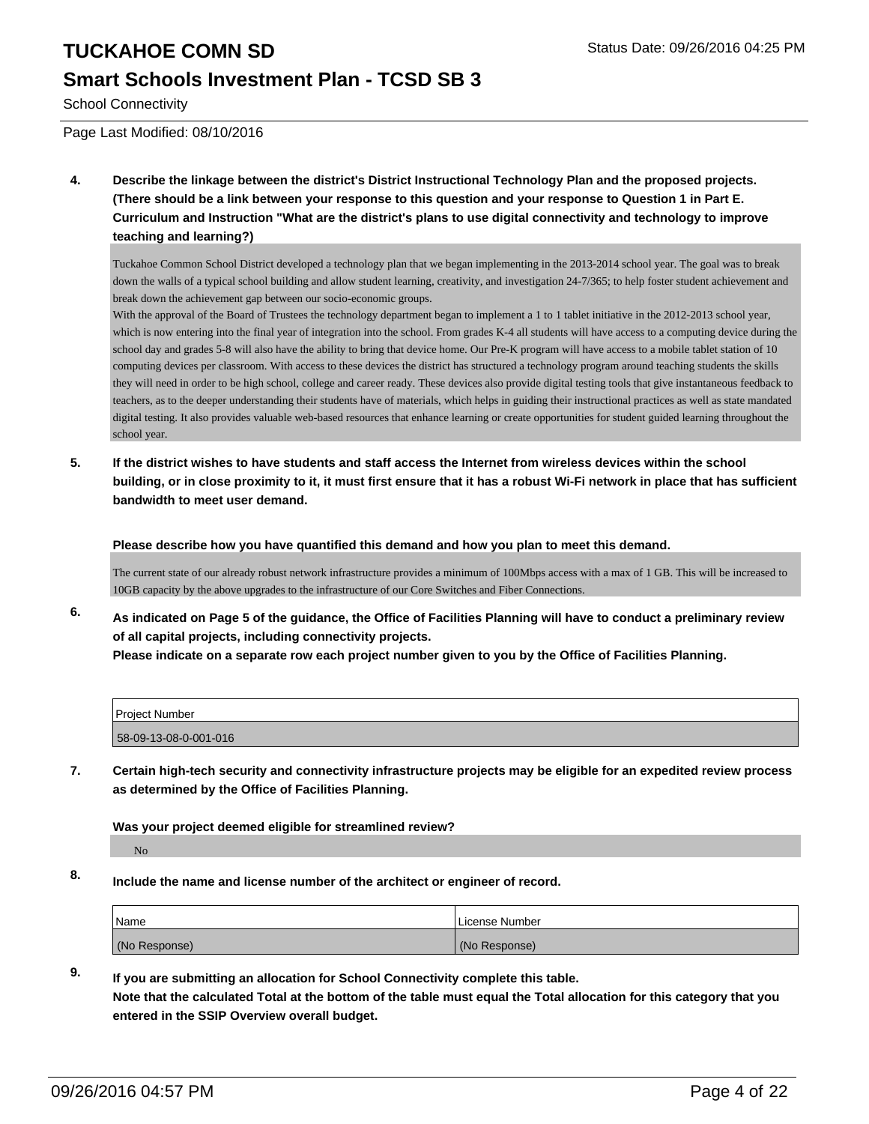### **Smart Schools Investment Plan - TCSD SB 3**

School Connectivity

Page Last Modified: 08/10/2016

**4. Describe the linkage between the district's District Instructional Technology Plan and the proposed projects. (There should be a link between your response to this question and your response to Question 1 in Part E. Curriculum and Instruction "What are the district's plans to use digital connectivity and technology to improve teaching and learning?)**

Tuckahoe Common School District developed a technology plan that we began implementing in the 2013-2014 school year. The goal was to break down the walls of a typical school building and allow student learning, creativity, and investigation 24-7/365; to help foster student achievement and break down the achievement gap between our socio-economic groups.

With the approval of the Board of Trustees the technology department began to implement a 1 to 1 tablet initiative in the 2012-2013 school year, which is now entering into the final year of integration into the school. From grades K-4 all students will have access to a computing device during the school day and grades 5-8 will also have the ability to bring that device home. Our Pre-K program will have access to a mobile tablet station of 10 computing devices per classroom. With access to these devices the district has structured a technology program around teaching students the skills they will need in order to be high school, college and career ready. These devices also provide digital testing tools that give instantaneous feedback to teachers, as to the deeper understanding their students have of materials, which helps in guiding their instructional practices as well as state mandated digital testing. It also provides valuable web-based resources that enhance learning or create opportunities for student guided learning throughout the school year.

**5. If the district wishes to have students and staff access the Internet from wireless devices within the school building, or in close proximity to it, it must first ensure that it has a robust Wi-Fi network in place that has sufficient bandwidth to meet user demand.**

**Please describe how you have quantified this demand and how you plan to meet this demand.**

The current state of our already robust network infrastructure provides a minimum of 100Mbps access with a max of 1 GB. This will be increased to 10GB capacity by the above upgrades to the infrastructure of our Core Switches and Fiber Connections.

**6. As indicated on Page 5 of the guidance, the Office of Facilities Planning will have to conduct a preliminary review of all capital projects, including connectivity projects. Please indicate on a separate row each project number given to you by the Office of Facilities Planning.**

| Project Number        |  |
|-----------------------|--|
| 58-09-13-08-0-001-016 |  |

**7. Certain high-tech security and connectivity infrastructure projects may be eligible for an expedited review process as determined by the Office of Facilities Planning.**

**Was your project deemed eligible for streamlined review?**

No

**8. Include the name and license number of the architect or engineer of record.**

| Name          | License Number |
|---------------|----------------|
| (No Response) | (No Response)  |

#### **9. If you are submitting an allocation for School Connectivity complete this table.**

**Note that the calculated Total at the bottom of the table must equal the Total allocation for this category that you entered in the SSIP Overview overall budget.**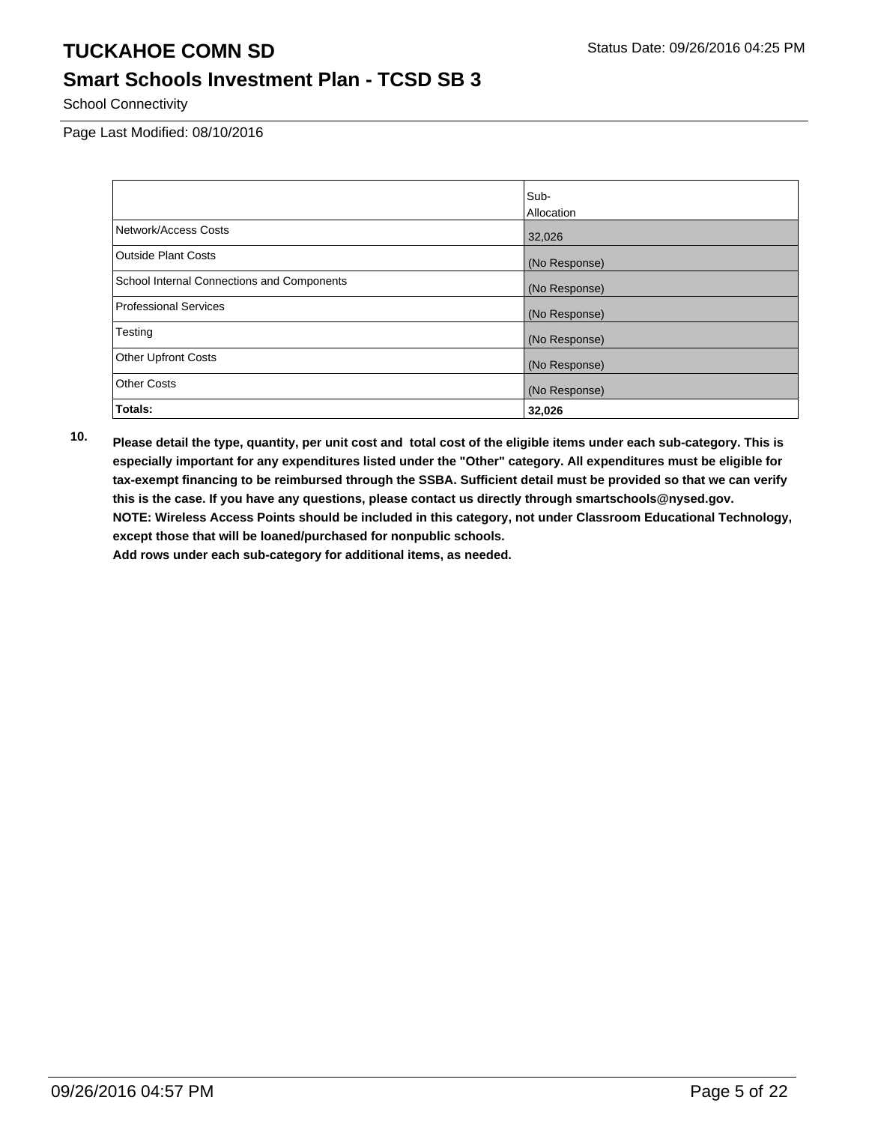## **Smart Schools Investment Plan - TCSD SB 3**

School Connectivity

Page Last Modified: 08/10/2016

|                                            | Sub-          |
|--------------------------------------------|---------------|
|                                            | Allocation    |
| Network/Access Costs                       | 32,026        |
| <b>Outside Plant Costs</b>                 | (No Response) |
| School Internal Connections and Components | (No Response) |
| Professional Services                      | (No Response) |
| Testing                                    | (No Response) |
| <b>Other Upfront Costs</b>                 | (No Response) |
| <b>Other Costs</b>                         | (No Response) |
| Totals:                                    | 32,026        |

**10. Please detail the type, quantity, per unit cost and total cost of the eligible items under each sub-category. This is especially important for any expenditures listed under the "Other" category. All expenditures must be eligible for tax-exempt financing to be reimbursed through the SSBA. Sufficient detail must be provided so that we can verify this is the case. If you have any questions, please contact us directly through smartschools@nysed.gov. NOTE: Wireless Access Points should be included in this category, not under Classroom Educational Technology, except those that will be loaned/purchased for nonpublic schools.**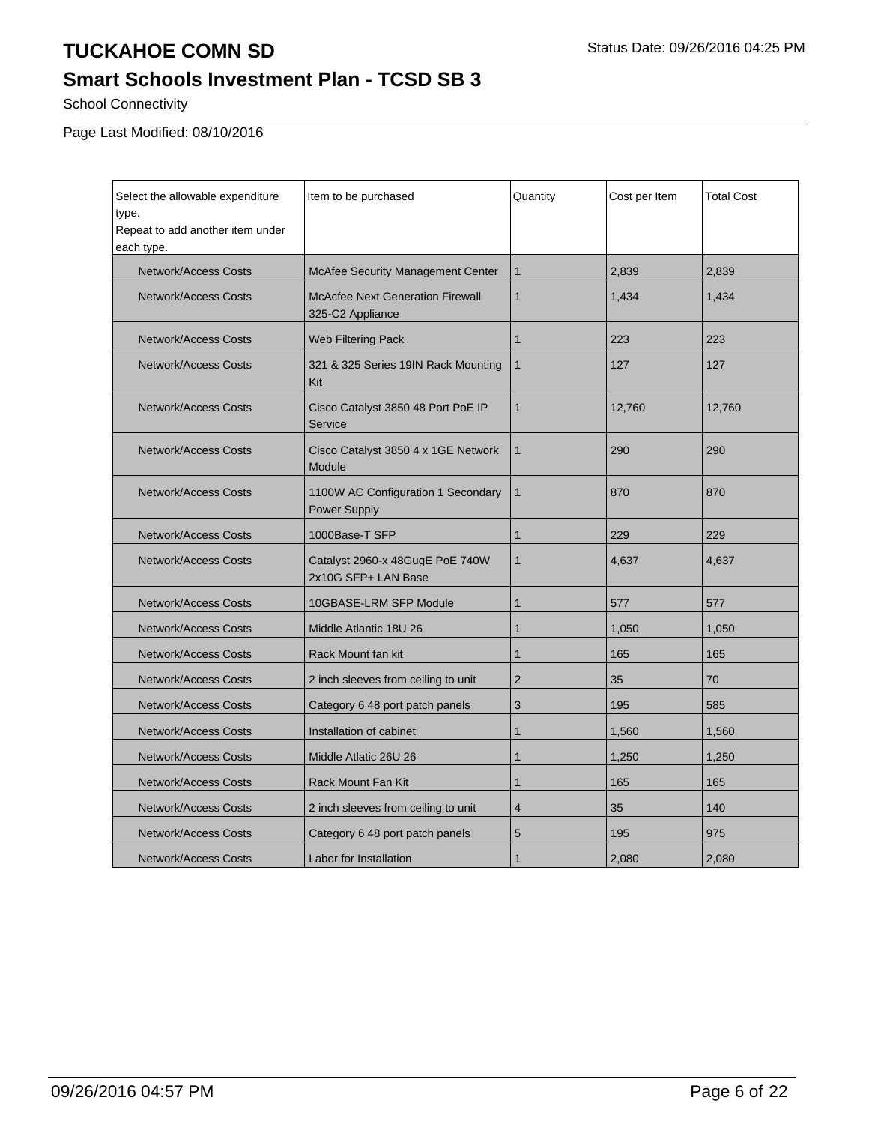# **Smart Schools Investment Plan - TCSD SB 3**

School Connectivity

Page Last Modified: 08/10/2016

| Select the allowable expenditure<br>type.<br>Repeat to add another item under<br>each type. | Item to be purchased                                        | Quantity       | Cost per Item | <b>Total Cost</b> |
|---------------------------------------------------------------------------------------------|-------------------------------------------------------------|----------------|---------------|-------------------|
| Network/Access Costs                                                                        | McAfee Security Management Center                           | $\mathbf{1}$   | 2.839         | 2.839             |
| Network/Access Costs                                                                        | <b>McAcfee Next Generation Firewall</b><br>325-C2 Appliance | $\mathbf{1}$   | 1,434         | 1,434             |
| <b>Network/Access Costs</b>                                                                 | Web Filtering Pack                                          | $\mathbf{1}$   | 223           | 223               |
| Network/Access Costs                                                                        | 321 & 325 Series 19IN Rack Mounting<br>Kit                  | $\mathbf{1}$   | 127           | 127               |
| <b>Network/Access Costs</b>                                                                 | Cisco Catalyst 3850 48 Port PoE IP<br>Service               | 1              | 12,760        | 12,760            |
| <b>Network/Access Costs</b>                                                                 | Cisco Catalyst 3850 4 x 1GE Network<br>Module               | $\mathbf{1}$   | 290           | 290               |
| Network/Access Costs                                                                        | 1100W AC Configuration 1 Secondary<br>Power Supply          | $\mathbf{1}$   | 870           | 870               |
| <b>Network/Access Costs</b>                                                                 | 1000Base-T SFP                                              | $\mathbf{1}$   | 229           | 229               |
| <b>Network/Access Costs</b>                                                                 | Catalyst 2960-x 48GugE PoE 740W<br>2x10G SFP+ LAN Base      | $\mathbf{1}$   | 4,637         | 4,637             |
| <b>Network/Access Costs</b>                                                                 | 10GBASE-LRM SFP Module                                      | $\mathbf{1}$   | 577           | 577               |
| <b>Network/Access Costs</b>                                                                 | Middle Atlantic 18U 26                                      | $\mathbf{1}$   | 1,050         | 1,050             |
| <b>Network/Access Costs</b>                                                                 | Rack Mount fan kit                                          | $\mathbf{1}$   | 165           | 165               |
| <b>Network/Access Costs</b>                                                                 | 2 inch sleeves from ceiling to unit                         | $\overline{2}$ | 35            | 70                |
| <b>Network/Access Costs</b>                                                                 | Category 6 48 port patch panels                             | 3              | 195           | 585               |
| Network/Access Costs                                                                        | Installation of cabinet                                     | 1              | 1,560         | 1,560             |
| <b>Network/Access Costs</b>                                                                 | Middle Atlatic 26U 26                                       | $\mathbf{1}$   | 1,250         | 1,250             |
| <b>Network/Access Costs</b>                                                                 | <b>Rack Mount Fan Kit</b>                                   | $\mathbf 1$    | 165           | 165               |
| <b>Network/Access Costs</b>                                                                 | 2 inch sleeves from ceiling to unit                         | 4              | 35            | 140               |
| Network/Access Costs                                                                        | Category 6 48 port patch panels                             | 5              | 195           | 975               |
| <b>Network/Access Costs</b>                                                                 | Labor for Installation                                      | $\mathbf 1$    | 2,080         | 2,080             |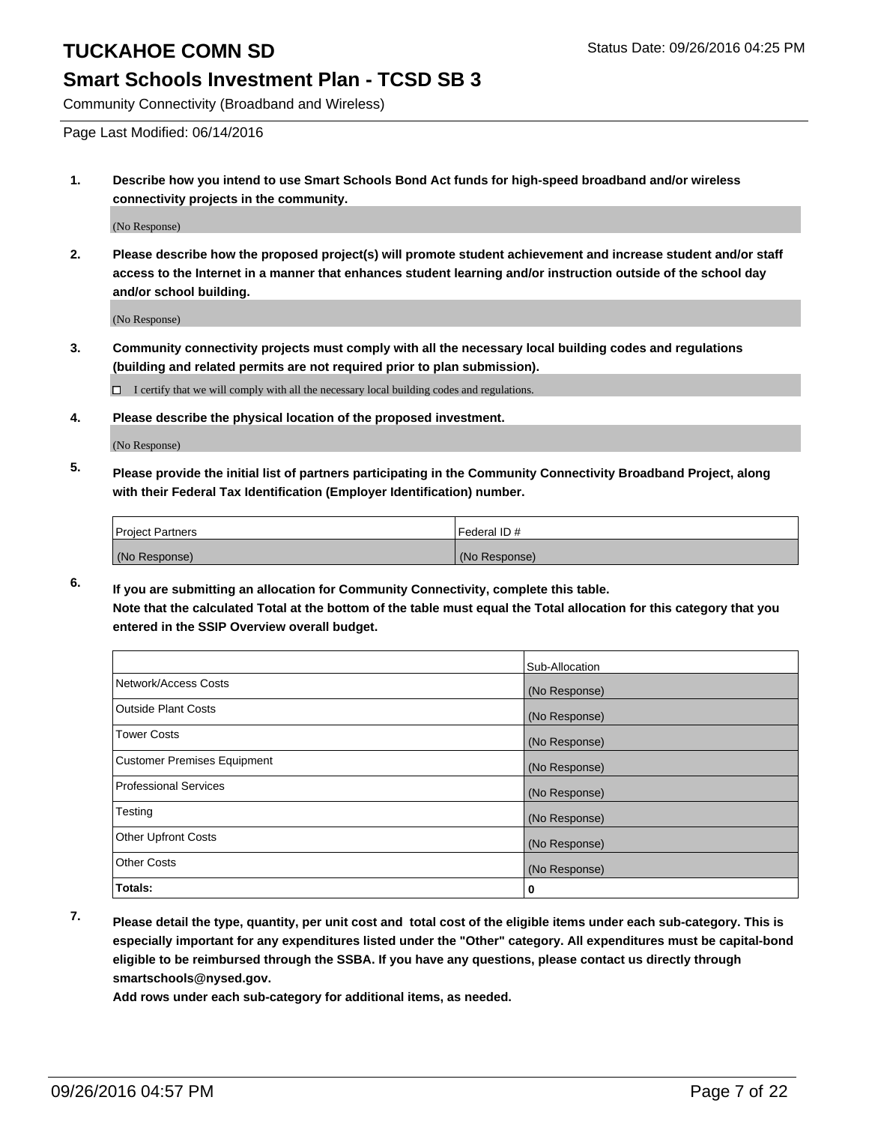## **Smart Schools Investment Plan - TCSD SB 3**

Community Connectivity (Broadband and Wireless)

Page Last Modified: 06/14/2016

**1. Describe how you intend to use Smart Schools Bond Act funds for high-speed broadband and/or wireless connectivity projects in the community.**

(No Response)

**2. Please describe how the proposed project(s) will promote student achievement and increase student and/or staff access to the Internet in a manner that enhances student learning and/or instruction outside of the school day and/or school building.**

(No Response)

**3. Community connectivity projects must comply with all the necessary local building codes and regulations (building and related permits are not required prior to plan submission).**

 $\Box$  I certify that we will comply with all the necessary local building codes and regulations.

**4. Please describe the physical location of the proposed investment.**

(No Response)

**5. Please provide the initial list of partners participating in the Community Connectivity Broadband Project, along with their Federal Tax Identification (Employer Identification) number.**

| <b>Project Partners</b> | Federal ID#   |
|-------------------------|---------------|
| (No Response)           | (No Response) |

**6. If you are submitting an allocation for Community Connectivity, complete this table. Note that the calculated Total at the bottom of the table must equal the Total allocation for this category that you entered in the SSIP Overview overall budget.**

|                                    | Sub-Allocation |
|------------------------------------|----------------|
| Network/Access Costs               | (No Response)  |
| <b>Outside Plant Costs</b>         | (No Response)  |
| Tower Costs                        | (No Response)  |
| <b>Customer Premises Equipment</b> | (No Response)  |
| <b>Professional Services</b>       | (No Response)  |
| Testing                            | (No Response)  |
| <b>Other Upfront Costs</b>         | (No Response)  |
| <b>Other Costs</b>                 | (No Response)  |
| Totals:                            | 0              |

**7. Please detail the type, quantity, per unit cost and total cost of the eligible items under each sub-category. This is especially important for any expenditures listed under the "Other" category. All expenditures must be capital-bond eligible to be reimbursed through the SSBA. If you have any questions, please contact us directly through smartschools@nysed.gov.**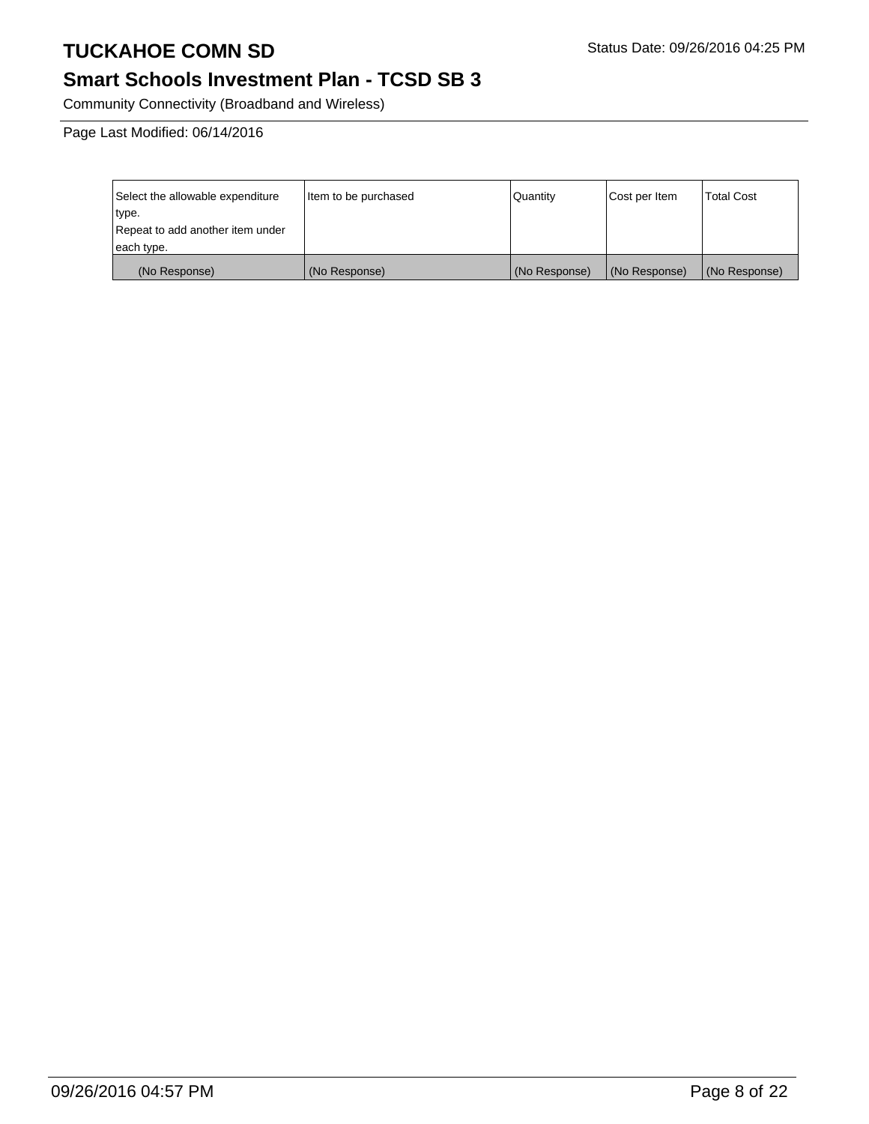# **Smart Schools Investment Plan - TCSD SB 3**

Community Connectivity (Broadband and Wireless)

Page Last Modified: 06/14/2016

| Select the allowable expenditure | litem to be purchased | Quantity      | Cost per Item | <b>Total Cost</b> |
|----------------------------------|-----------------------|---------------|---------------|-------------------|
| type.                            |                       |               |               |                   |
| Repeat to add another item under |                       |               |               |                   |
| each type.                       |                       |               |               |                   |
| (No Response)                    | (No Response)         | (No Response) | (No Response) | (No Response)     |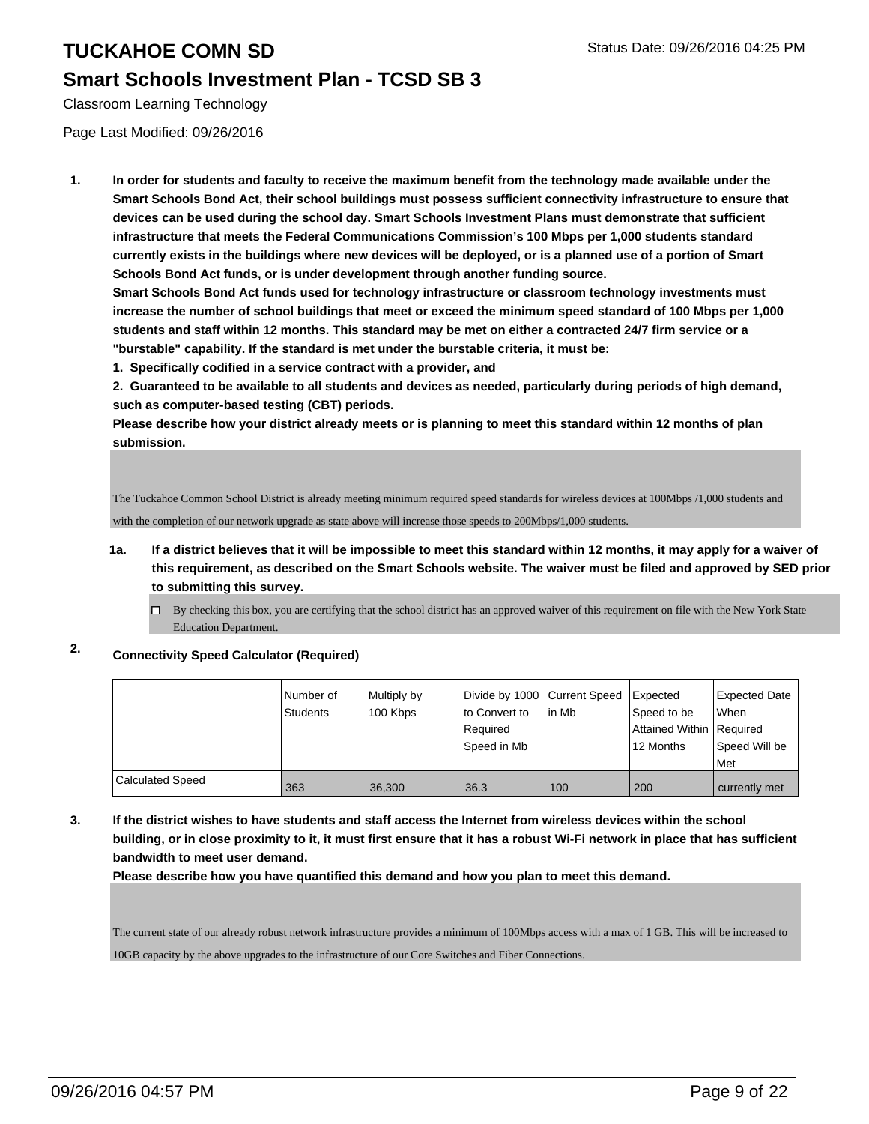### **Smart Schools Investment Plan - TCSD SB 3**

Classroom Learning Technology

Page Last Modified: 09/26/2016

**1. In order for students and faculty to receive the maximum benefit from the technology made available under the Smart Schools Bond Act, their school buildings must possess sufficient connectivity infrastructure to ensure that devices can be used during the school day. Smart Schools Investment Plans must demonstrate that sufficient infrastructure that meets the Federal Communications Commission's 100 Mbps per 1,000 students standard currently exists in the buildings where new devices will be deployed, or is a planned use of a portion of Smart Schools Bond Act funds, or is under development through another funding source.**

**Smart Schools Bond Act funds used for technology infrastructure or classroom technology investments must increase the number of school buildings that meet or exceed the minimum speed standard of 100 Mbps per 1,000 students and staff within 12 months. This standard may be met on either a contracted 24/7 firm service or a "burstable" capability. If the standard is met under the burstable criteria, it must be:**

**1. Specifically codified in a service contract with a provider, and**

**2. Guaranteed to be available to all students and devices as needed, particularly during periods of high demand, such as computer-based testing (CBT) periods.**

**Please describe how your district already meets or is planning to meet this standard within 12 months of plan submission.**

The Tuckahoe Common School District is already meeting minimum required speed standards for wireless devices at 100Mbps /1,000 students and with the completion of our network upgrade as state above will increase those speeds to 200Mbps/1,000 students.

- **1a. If a district believes that it will be impossible to meet this standard within 12 months, it may apply for a waiver of this requirement, as described on the Smart Schools website. The waiver must be filed and approved by SED prior to submitting this survey.**
	- $\Box$  By checking this box, you are certifying that the school district has an approved waiver of this requirement on file with the New York State Education Department.

### **2. Connectivity Speed Calculator (Required)**

|                  | l Number of<br>Students | Multiply by<br>100 Kbps | lto Convert to | Divide by 1000 Current Speed Expected<br>l in Mb | Speed to be                | Expected Date<br><b>When</b> |
|------------------|-------------------------|-------------------------|----------------|--------------------------------------------------|----------------------------|------------------------------|
|                  |                         |                         | Required       |                                                  | Attained Within   Required |                              |
|                  |                         |                         | Speed in Mb    |                                                  | 12 Months                  | Speed Will be                |
|                  |                         |                         |                |                                                  |                            | Met                          |
| Calculated Speed | 363                     | 36.300                  | 36.3           | 100                                              | 200                        | currently met                |

#### **3. If the district wishes to have students and staff access the Internet from wireless devices within the school building, or in close proximity to it, it must first ensure that it has a robust Wi-Fi network in place that has sufficient bandwidth to meet user demand.**

**Please describe how you have quantified this demand and how you plan to meet this demand.**

The current state of our already robust network infrastructure provides a minimum of 100Mbps access with a max of 1 GB. This will be increased to 10GB capacity by the above upgrades to the infrastructure of our Core Switches and Fiber Connections.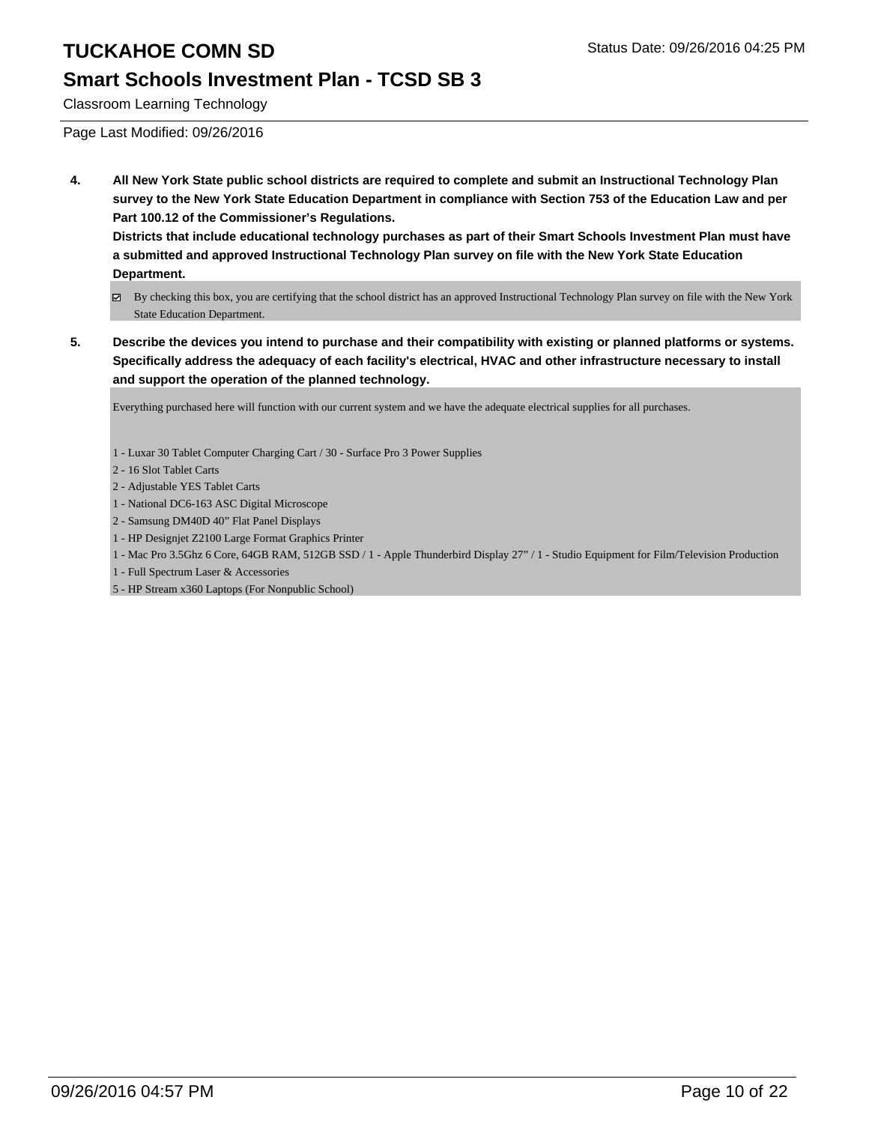## **Smart Schools Investment Plan - TCSD SB 3**

Classroom Learning Technology

Page Last Modified: 09/26/2016

**4. All New York State public school districts are required to complete and submit an Instructional Technology Plan survey to the New York State Education Department in compliance with Section 753 of the Education Law and per Part 100.12 of the Commissioner's Regulations.**

**Districts that include educational technology purchases as part of their Smart Schools Investment Plan must have a submitted and approved Instructional Technology Plan survey on file with the New York State Education Department.**

- By checking this box, you are certifying that the school district has an approved Instructional Technology Plan survey on file with the New York State Education Department.
- **5. Describe the devices you intend to purchase and their compatibility with existing or planned platforms or systems. Specifically address the adequacy of each facility's electrical, HVAC and other infrastructure necessary to install and support the operation of the planned technology.**

Everything purchased here will function with our current system and we have the adequate electrical supplies for all purchases.

1 - Luxar 30 Tablet Computer Charging Cart / 30 - Surface Pro 3 Power Supplies

- 2 16 Slot Tablet Carts
- 2 Adjustable YES Tablet Carts
- 1 National DC6-163 ASC Digital Microscope
- 2 Samsung DM40D 40" Flat Panel Displays
- 1 HP Designjet Z2100 Large Format Graphics Printer
- 1 Mac Pro 3.5Ghz 6 Core, 64GB RAM, 512GB SSD / 1 Apple Thunderbird Display 27" / 1 Studio Equipment for Film/Television Production
- 1 Full Spectrum Laser & Accessories

5 - HP Stream x360 Laptops (For Nonpublic School)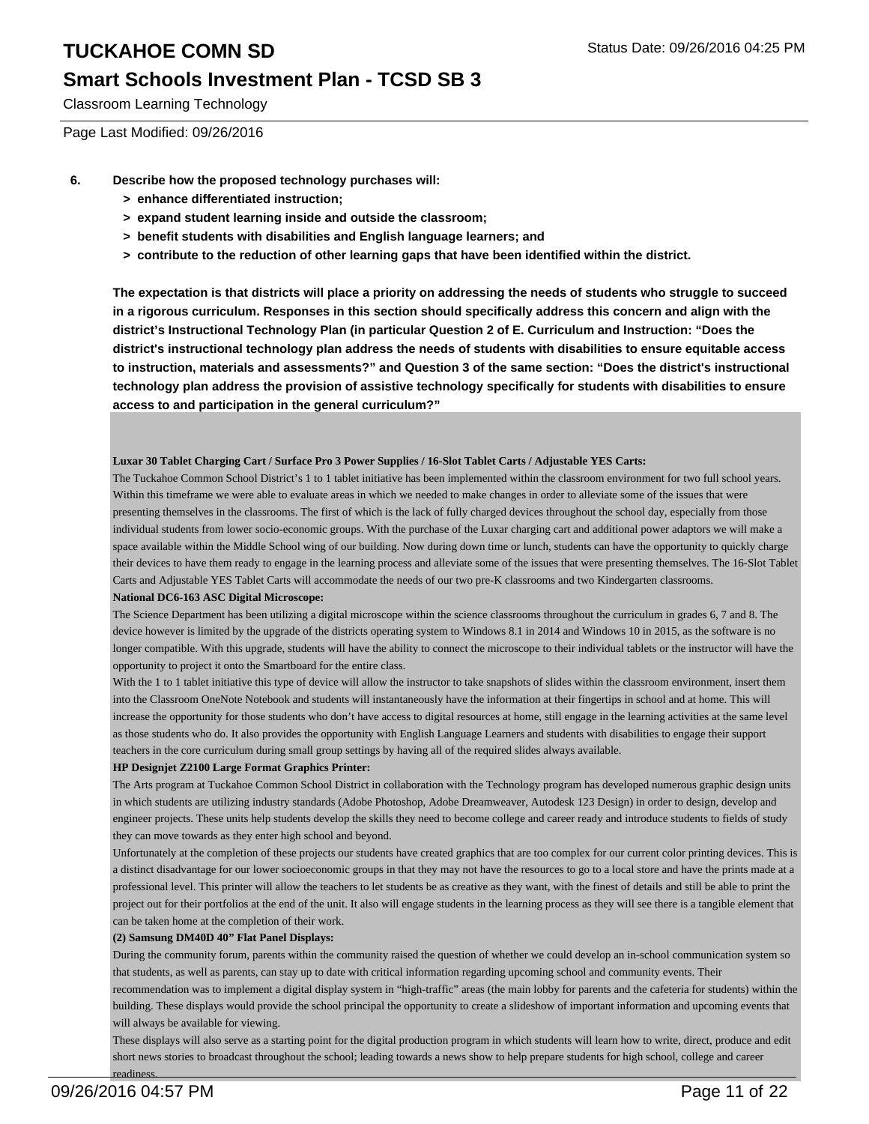### **Smart Schools Investment Plan - TCSD SB 3**

Classroom Learning Technology

Page Last Modified: 09/26/2016

- **6. Describe how the proposed technology purchases will:**
	- **> enhance differentiated instruction;**
	- **> expand student learning inside and outside the classroom;**
	- **> benefit students with disabilities and English language learners; and**
	- **> contribute to the reduction of other learning gaps that have been identified within the district.**

**The expectation is that districts will place a priority on addressing the needs of students who struggle to succeed in a rigorous curriculum. Responses in this section should specifically address this concern and align with the district's Instructional Technology Plan (in particular Question 2 of E. Curriculum and Instruction: "Does the district's instructional technology plan address the needs of students with disabilities to ensure equitable access to instruction, materials and assessments?" and Question 3 of the same section: "Does the district's instructional technology plan address the provision of assistive technology specifically for students with disabilities to ensure access to and participation in the general curriculum?"**

#### **Luxar 30 Tablet Charging Cart / Surface Pro 3 Power Supplies / 16-Slot Tablet Carts / Adjustable YES Carts:**

The Tuckahoe Common School District's 1 to 1 tablet initiative has been implemented within the classroom environment for two full school years. Within this timeframe we were able to evaluate areas in which we needed to make changes in order to alleviate some of the issues that were presenting themselves in the classrooms. The first of which is the lack of fully charged devices throughout the school day, especially from those individual students from lower socio-economic groups. With the purchase of the Luxar charging cart and additional power adaptors we will make a space available within the Middle School wing of our building. Now during down time or lunch, students can have the opportunity to quickly charge their devices to have them ready to engage in the learning process and alleviate some of the issues that were presenting themselves. The 16-Slot Tablet Carts and Adjustable YES Tablet Carts will accommodate the needs of our two pre-K classrooms and two Kindergarten classrooms.

#### **National DC6-163 ASC Digital Microscope:**

The Science Department has been utilizing a digital microscope within the science classrooms throughout the curriculum in grades 6, 7 and 8. The device however is limited by the upgrade of the districts operating system to Windows 8.1 in 2014 and Windows 10 in 2015, as the software is no longer compatible. With this upgrade, students will have the ability to connect the microscope to their individual tablets or the instructor will have the opportunity to project it onto the Smartboard for the entire class.

With the 1 to 1 tablet initiative this type of device will allow the instructor to take snapshots of slides within the classroom environment, insert them into the Classroom OneNote Notebook and students will instantaneously have the information at their fingertips in school and at home. This will increase the opportunity for those students who don't have access to digital resources at home, still engage in the learning activities at the same level as those students who do. It also provides the opportunity with English Language Learners and students with disabilities to engage their support teachers in the core curriculum during small group settings by having all of the required slides always available.

#### **HP Designjet Z2100 Large Format Graphics Printer:**

The Arts program at Tuckahoe Common School District in collaboration with the Technology program has developed numerous graphic design units in which students are utilizing industry standards (Adobe Photoshop, Adobe Dreamweaver, Autodesk 123 Design) in order to design, develop and engineer projects. These units help students develop the skills they need to become college and career ready and introduce students to fields of study they can move towards as they enter high school and beyond.

Unfortunately at the completion of these projects our students have created graphics that are too complex for our current color printing devices. This is a distinct disadvantage for our lower socioeconomic groups in that they may not have the resources to go to a local store and have the prints made at a professional level. This printer will allow the teachers to let students be as creative as they want, with the finest of details and still be able to print the project out for their portfolios at the end of the unit. It also will engage students in the learning process as they will see there is a tangible element that can be taken home at the completion of their work.

#### **(2) Samsung DM40D 40" Flat Panel Displays:**

During the community forum, parents within the community raised the question of whether we could develop an in-school communication system so that students, as well as parents, can stay up to date with critical information regarding upcoming school and community events. Their

recommendation was to implement a digital display system in "high-traffic" areas (the main lobby for parents and the cafeteria for students) within the building. These displays would provide the school principal the opportunity to create a slideshow of important information and upcoming events that will always be available for viewing.

These displays will also serve as a starting point for the digital production program in which students will learn how to write, direct, produce and edit short news stories to broadcast throughout the school; leading towards a news show to help prepare students for high school, college and career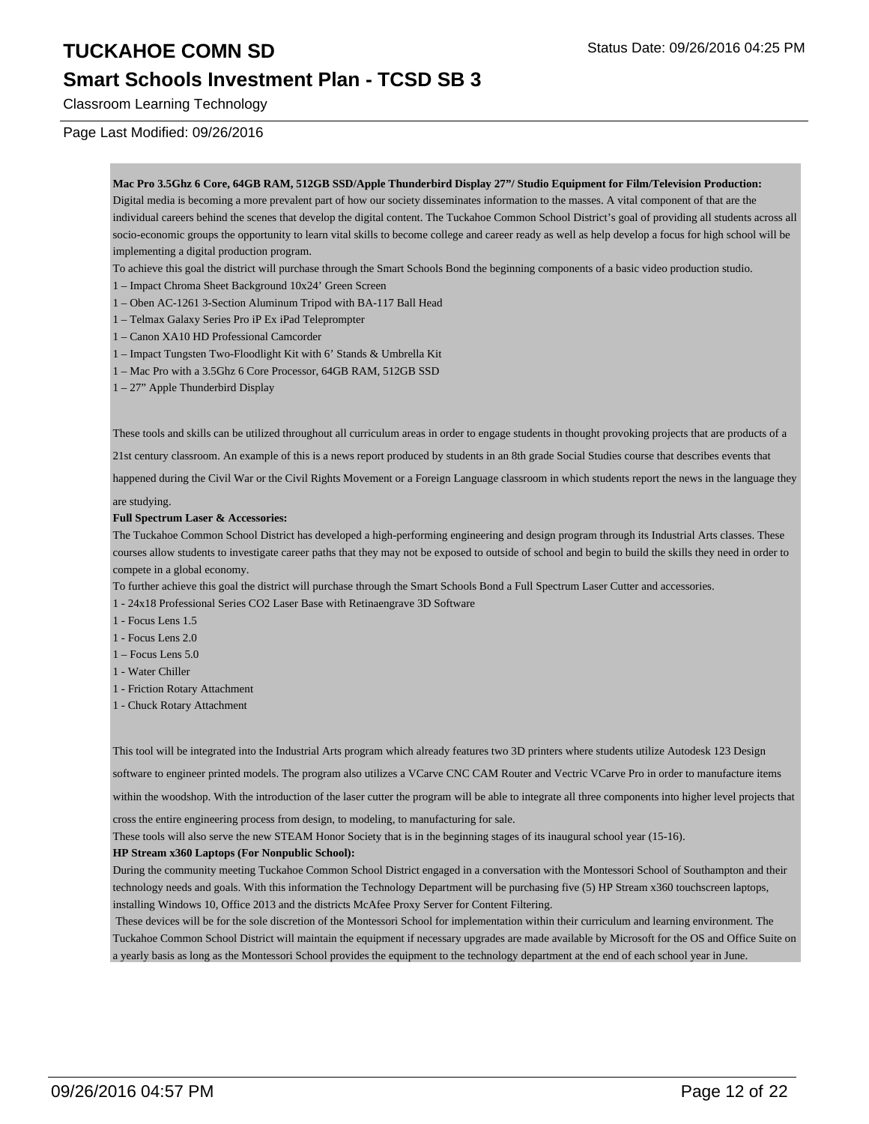### **Smart Schools Investment Plan - TCSD SB 3**

Classroom Learning Technology

#### Page Last Modified: 09/26/2016

**Mac Pro 3.5Ghz 6 Core, 64GB RAM, 512GB SSD/Apple Thunderbird Display 27"/ Studio Equipment for Film/Television Production:** Digital media is becoming a more prevalent part of how our society disseminates information to the masses. A vital component of that are the individual careers behind the scenes that develop the digital content. The Tuckahoe Common School District's goal of providing all students across all socio-economic groups the opportunity to learn vital skills to become college and career ready as well as help develop a focus for high school will be implementing a digital production program.

To achieve this goal the district will purchase through the Smart Schools Bond the beginning components of a basic video production studio.

- 1 Impact Chroma Sheet Background 10x24' Green Screen
- 1 Oben AC-1261 3-Section Aluminum Tripod with BA-117 Ball Head
- 1 Telmax Galaxy Series Pro iP Ex iPad Teleprompter
- 1 Canon XA10 HD Professional Camcorder
- 1 Impact Tungsten Two-Floodlight Kit with 6' Stands & Umbrella Kit
- 1 Mac Pro with a 3.5Ghz 6 Core Processor, 64GB RAM, 512GB SSD
- 1 27" Apple Thunderbird Display

These tools and skills can be utilized throughout all curriculum areas in order to engage students in thought provoking projects that are products of a

21st century classroom. An example of this is a news report produced by students in an 8th grade Social Studies course that describes events that

happened during the Civil War or the Civil Rights Movement or a Foreign Language classroom in which students report the news in the language they

are studying.

#### **Full Spectrum Laser & Accessories:**

The Tuckahoe Common School District has developed a high-performing engineering and design program through its Industrial Arts classes. These courses allow students to investigate career paths that they may not be exposed to outside of school and begin to build the skills they need in order to compete in a global economy.

To further achieve this goal the district will purchase through the Smart Schools Bond a Full Spectrum Laser Cutter and accessories.

1 - 24x18 Professional Series CO2 Laser Base with Retinaengrave 3D Software

- 1 Focus Lens 1.5
- 1 Focus Lens 2.0
- 1 Focus Lens 5.0
- 1 Water Chiller
- 1 Friction Rotary Attachment
- 1 Chuck Rotary Attachment

This tool will be integrated into the Industrial Arts program which already features two 3D printers where students utilize Autodesk 123 Design

software to engineer printed models. The program also utilizes a VCarve CNC CAM Router and Vectric VCarve Pro in order to manufacture items

within the woodshop. With the introduction of the laser cutter the program will be able to integrate all three components into higher level projects that

cross the entire engineering process from design, to modeling, to manufacturing for sale.

These tools will also serve the new STEAM Honor Society that is in the beginning stages of its inaugural school year (15-16).

#### **HP Stream x360 Laptops (For Nonpublic School):**

During the community meeting Tuckahoe Common School District engaged in a conversation with the Montessori School of Southampton and their technology needs and goals. With this information the Technology Department will be purchasing five (5) HP Stream x360 touchscreen laptops, installing Windows 10, Office 2013 and the districts McAfee Proxy Server for Content Filtering.

 These devices will be for the sole discretion of the Montessori School for implementation within their curriculum and learning environment. The Tuckahoe Common School District will maintain the equipment if necessary upgrades are made available by Microsoft for the OS and Office Suite on a yearly basis as long as the Montessori School provides the equipment to the technology department at the end of each school year in June.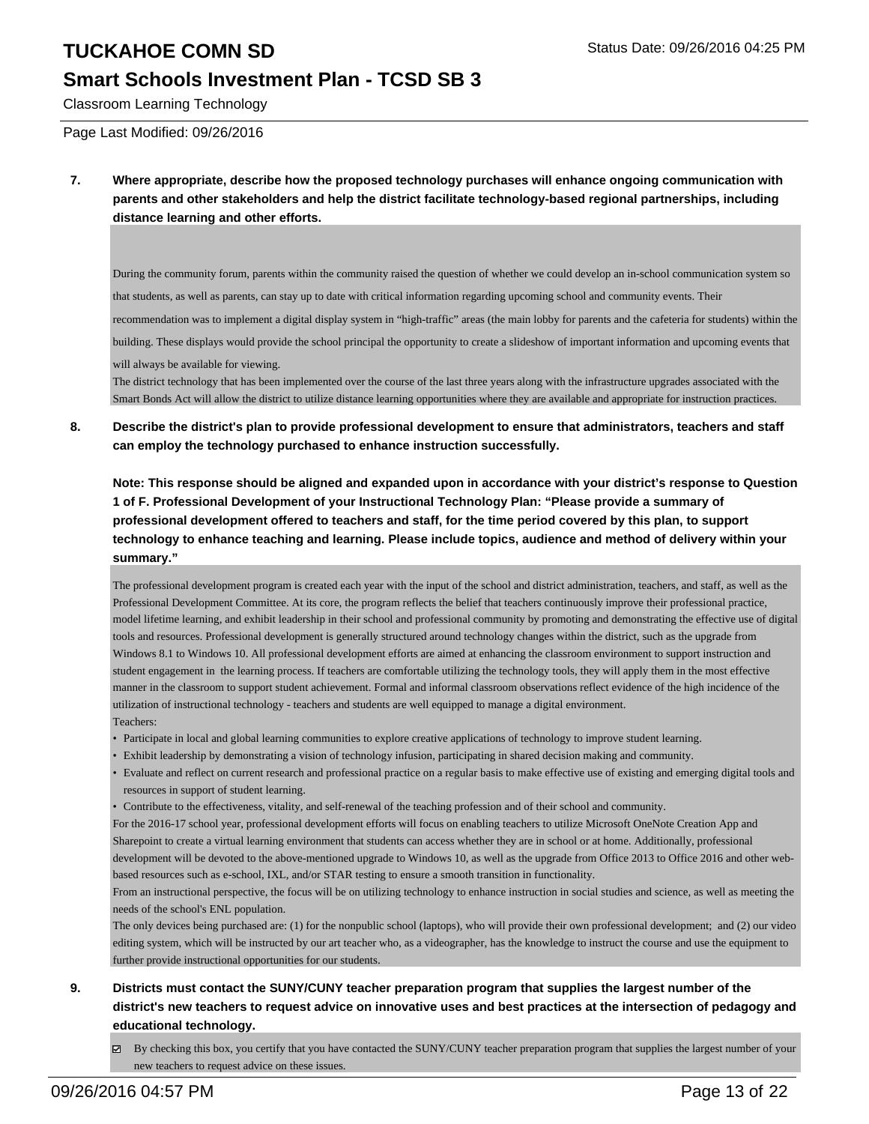### **Smart Schools Investment Plan - TCSD SB 3**

Classroom Learning Technology

Page Last Modified: 09/26/2016

**7. Where appropriate, describe how the proposed technology purchases will enhance ongoing communication with parents and other stakeholders and help the district facilitate technology-based regional partnerships, including distance learning and other efforts.**

During the community forum, parents within the community raised the question of whether we could develop an in-school communication system so that students, as well as parents, can stay up to date with critical information regarding upcoming school and community events. Their recommendation was to implement a digital display system in "high-traffic" areas (the main lobby for parents and the cafeteria for students) within the building. These displays would provide the school principal the opportunity to create a slideshow of important information and upcoming events that will always be available for viewing.

The district technology that has been implemented over the course of the last three years along with the infrastructure upgrades associated with the Smart Bonds Act will allow the district to utilize distance learning opportunities where they are available and appropriate for instruction practices.

**8. Describe the district's plan to provide professional development to ensure that administrators, teachers and staff can employ the technology purchased to enhance instruction successfully.**

**Note: This response should be aligned and expanded upon in accordance with your district's response to Question 1 of F. Professional Development of your Instructional Technology Plan: "Please provide a summary of professional development offered to teachers and staff, for the time period covered by this plan, to support technology to enhance teaching and learning. Please include topics, audience and method of delivery within your summary."**

The professional development program is created each year with the input of the school and district administration, teachers, and staff, as well as the Professional Development Committee. At its core, the program reflects the belief that teachers continuously improve their professional practice, model lifetime learning, and exhibit leadership in their school and professional community by promoting and demonstrating the effective use of digital tools and resources. Professional development is generally structured around technology changes within the district, such as the upgrade from Windows 8.1 to Windows 10. All professional development efforts are aimed at enhancing the classroom environment to support instruction and student engagement in the learning process. If teachers are comfortable utilizing the technology tools, they will apply them in the most effective manner in the classroom to support student achievement. Formal and informal classroom observations reflect evidence of the high incidence of the utilization of instructional technology - teachers and students are well equipped to manage a digital environment. Teachers:

- Participate in local and global learning communities to explore creative applications of technology to improve student learning.
- Exhibit leadership by demonstrating a vision of technology infusion, participating in shared decision making and community.
- Evaluate and reflect on current research and professional practice on a regular basis to make effective use of existing and emerging digital tools and resources in support of student learning.
- Contribute to the effectiveness, vitality, and self-renewal of the teaching profession and of their school and community.

For the 2016-17 school year, professional development efforts will focus on enabling teachers to utilize Microsoft OneNote Creation App and Sharepoint to create a virtual learning environment that students can access whether they are in school or at home. Additionally, professional development will be devoted to the above-mentioned upgrade to Windows 10, as well as the upgrade from Office 2013 to Office 2016 and other webbased resources such as e-school, IXL, and/or STAR testing to ensure a smooth transition in functionality.

From an instructional perspective, the focus will be on utilizing technology to enhance instruction in social studies and science, as well as meeting the needs of the school's ENL population.

The only devices being purchased are: (1) for the nonpublic school (laptops), who will provide their own professional development; and (2) our video editing system, which will be instructed by our art teacher who, as a videographer, has the knowledge to instruct the course and use the equipment to further provide instructional opportunities for our students.

- **9. Districts must contact the SUNY/CUNY teacher preparation program that supplies the largest number of the district's new teachers to request advice on innovative uses and best practices at the intersection of pedagogy and educational technology.**
	- $\boxtimes$  By checking this box, you certify that you have contacted the SUNY/CUNY teacher preparation program that supplies the largest number of your new teachers to request advice on these issues.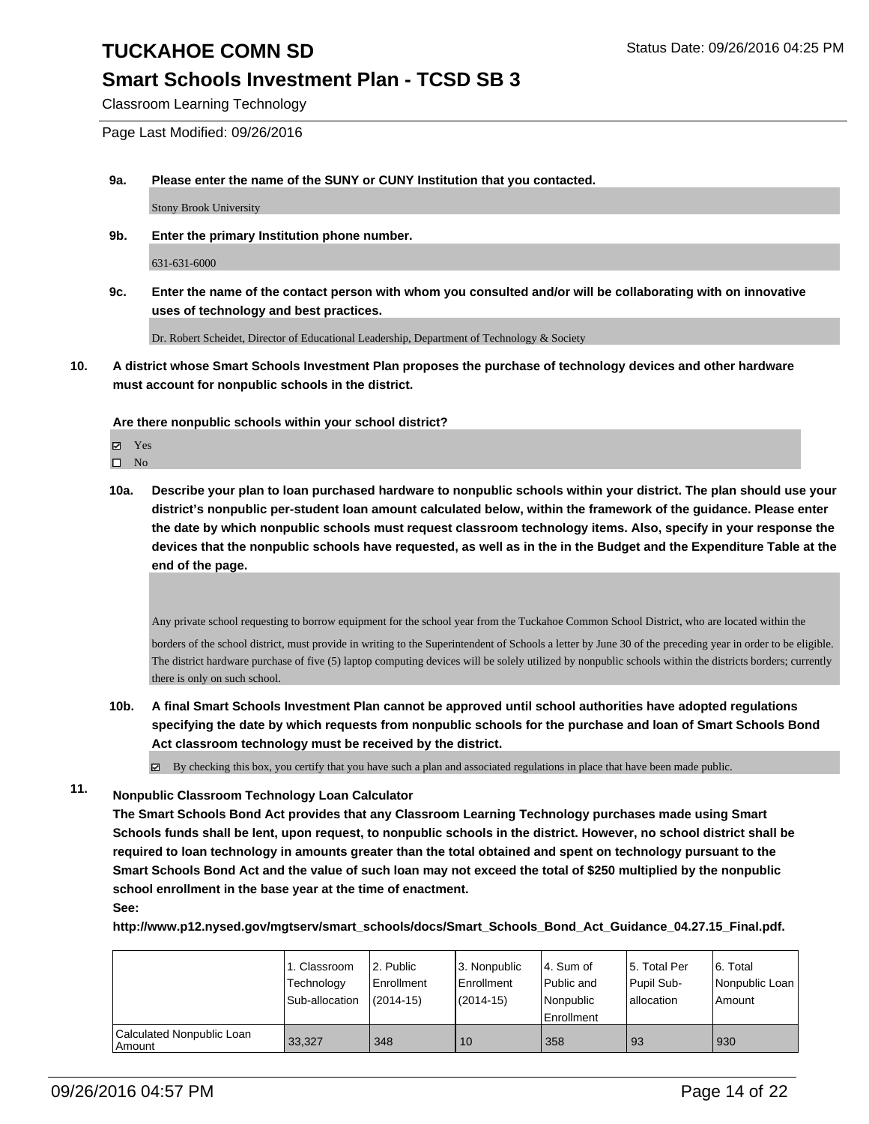## **Smart Schools Investment Plan - TCSD SB 3**

Classroom Learning Technology

Page Last Modified: 09/26/2016

**9a. Please enter the name of the SUNY or CUNY Institution that you contacted.**

Stony Brook University

**9b. Enter the primary Institution phone number.**

631-631-6000

**9c. Enter the name of the contact person with whom you consulted and/or will be collaborating with on innovative uses of technology and best practices.**

Dr. Robert Scheidet, Director of Educational Leadership, Department of Technology & Society

**10. A district whose Smart Schools Investment Plan proposes the purchase of technology devices and other hardware must account for nonpublic schools in the district.**

**Are there nonpublic schools within your school district?**

Yes

- $\square$  No
- **10a. Describe your plan to loan purchased hardware to nonpublic schools within your district. The plan should use your district's nonpublic per-student loan amount calculated below, within the framework of the guidance. Please enter the date by which nonpublic schools must request classroom technology items. Also, specify in your response the devices that the nonpublic schools have requested, as well as in the in the Budget and the Expenditure Table at the end of the page.**

Any private school requesting to borrow equipment for the school year from the Tuckahoe Common School District, who are located within the

borders of the school district, must provide in writing to the Superintendent of Schools a letter by June 30 of the preceding year in order to be eligible. The district hardware purchase of five (5) laptop computing devices will be solely utilized by nonpublic schools within the districts borders; currently there is only on such school.

**10b. A final Smart Schools Investment Plan cannot be approved until school authorities have adopted regulations specifying the date by which requests from nonpublic schools for the purchase and loan of Smart Schools Bond Act classroom technology must be received by the district.**

 $\boxtimes$  By checking this box, you certify that you have such a plan and associated regulations in place that have been made public.

**11. Nonpublic Classroom Technology Loan Calculator**

**The Smart Schools Bond Act provides that any Classroom Learning Technology purchases made using Smart Schools funds shall be lent, upon request, to nonpublic schools in the district. However, no school district shall be required to loan technology in amounts greater than the total obtained and spent on technology pursuant to the Smart Schools Bond Act and the value of such loan may not exceed the total of \$250 multiplied by the nonpublic school enrollment in the base year at the time of enactment.**

**See:**

**http://www.p12.nysed.gov/mgtserv/smart\_schools/docs/Smart\_Schools\_Bond\_Act\_Guidance\_04.27.15\_Final.pdf.**

|                                     | 1. Classroom<br>Technology<br>Sub-allocation | 2. Public<br>Enrollment<br>$(2014-15)$ | l 3. Nonpublic<br>l Enrollment<br>(2014-15) | 4. Sum of<br>l Public and<br>Nonpublic<br><b>Enrollment</b> | 15. Total Per<br>Pupil Sub-<br>allocation | 6. Total<br>Nonpublic Loan<br>l Amount |
|-------------------------------------|----------------------------------------------|----------------------------------------|---------------------------------------------|-------------------------------------------------------------|-------------------------------------------|----------------------------------------|
| Calculated Nonpublic Loan<br>Amount | 33.327                                       | 348                                    | 10                                          | 358                                                         | 93                                        | 930                                    |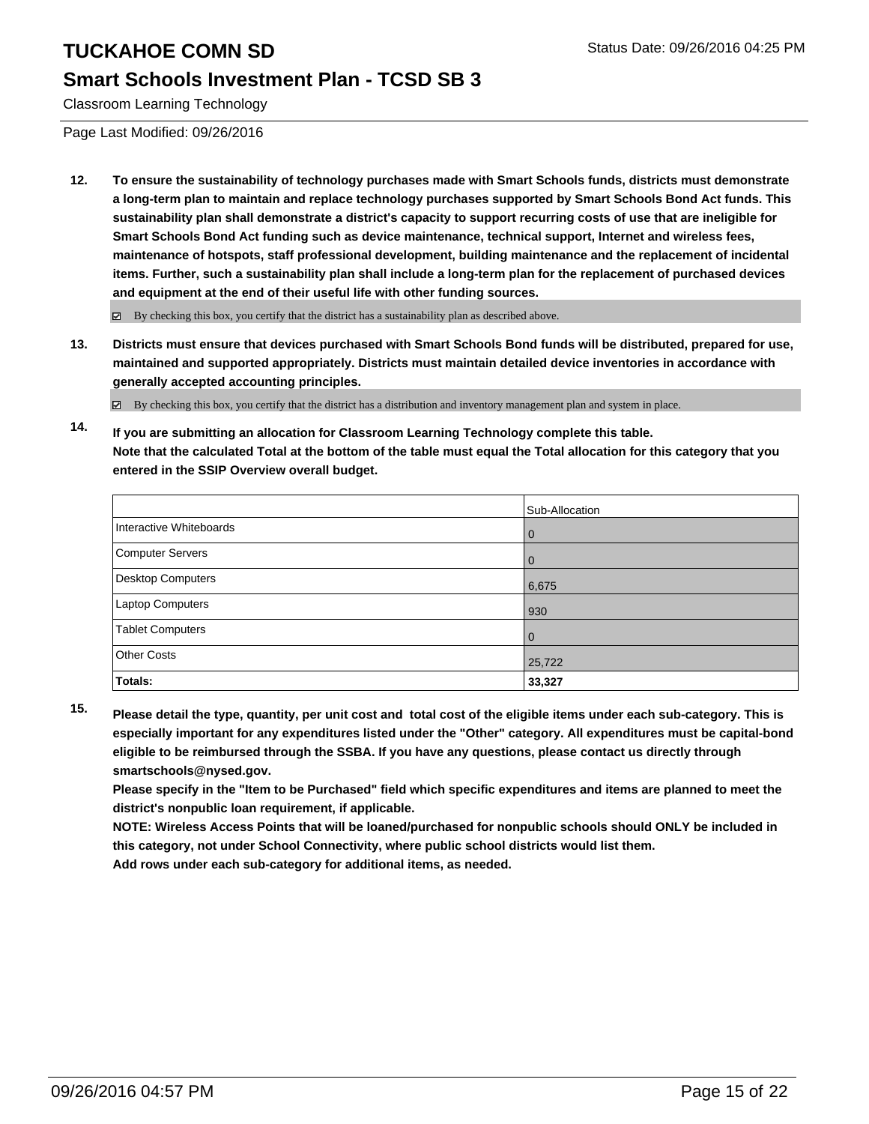### **Smart Schools Investment Plan - TCSD SB 3**

Classroom Learning Technology

Page Last Modified: 09/26/2016

**12. To ensure the sustainability of technology purchases made with Smart Schools funds, districts must demonstrate a long-term plan to maintain and replace technology purchases supported by Smart Schools Bond Act funds. This sustainability plan shall demonstrate a district's capacity to support recurring costs of use that are ineligible for Smart Schools Bond Act funding such as device maintenance, technical support, Internet and wireless fees, maintenance of hotspots, staff professional development, building maintenance and the replacement of incidental items. Further, such a sustainability plan shall include a long-term plan for the replacement of purchased devices and equipment at the end of their useful life with other funding sources.**

 $\boxtimes$  By checking this box, you certify that the district has a sustainability plan as described above.

**13. Districts must ensure that devices purchased with Smart Schools Bond funds will be distributed, prepared for use, maintained and supported appropriately. Districts must maintain detailed device inventories in accordance with generally accepted accounting principles.**

By checking this box, you certify that the district has a distribution and inventory management plan and system in place.

**14. If you are submitting an allocation for Classroom Learning Technology complete this table. Note that the calculated Total at the bottom of the table must equal the Total allocation for this category that you entered in the SSIP Overview overall budget.**

|                          | Sub-Allocation |
|--------------------------|----------------|
| Interactive Whiteboards  | $\mathbf{0}$   |
| Computer Servers         | 0              |
| <b>Desktop Computers</b> | 6,675          |
| Laptop Computers         | 930            |
| <b>Tablet Computers</b>  | $\mathbf 0$    |
| <b>Other Costs</b>       | 25,722         |
| <b>Totals:</b>           | 33,327         |

**15. Please detail the type, quantity, per unit cost and total cost of the eligible items under each sub-category. This is especially important for any expenditures listed under the "Other" category. All expenditures must be capital-bond eligible to be reimbursed through the SSBA. If you have any questions, please contact us directly through smartschools@nysed.gov.**

**Please specify in the "Item to be Purchased" field which specific expenditures and items are planned to meet the district's nonpublic loan requirement, if applicable.**

**NOTE: Wireless Access Points that will be loaned/purchased for nonpublic schools should ONLY be included in this category, not under School Connectivity, where public school districts would list them.**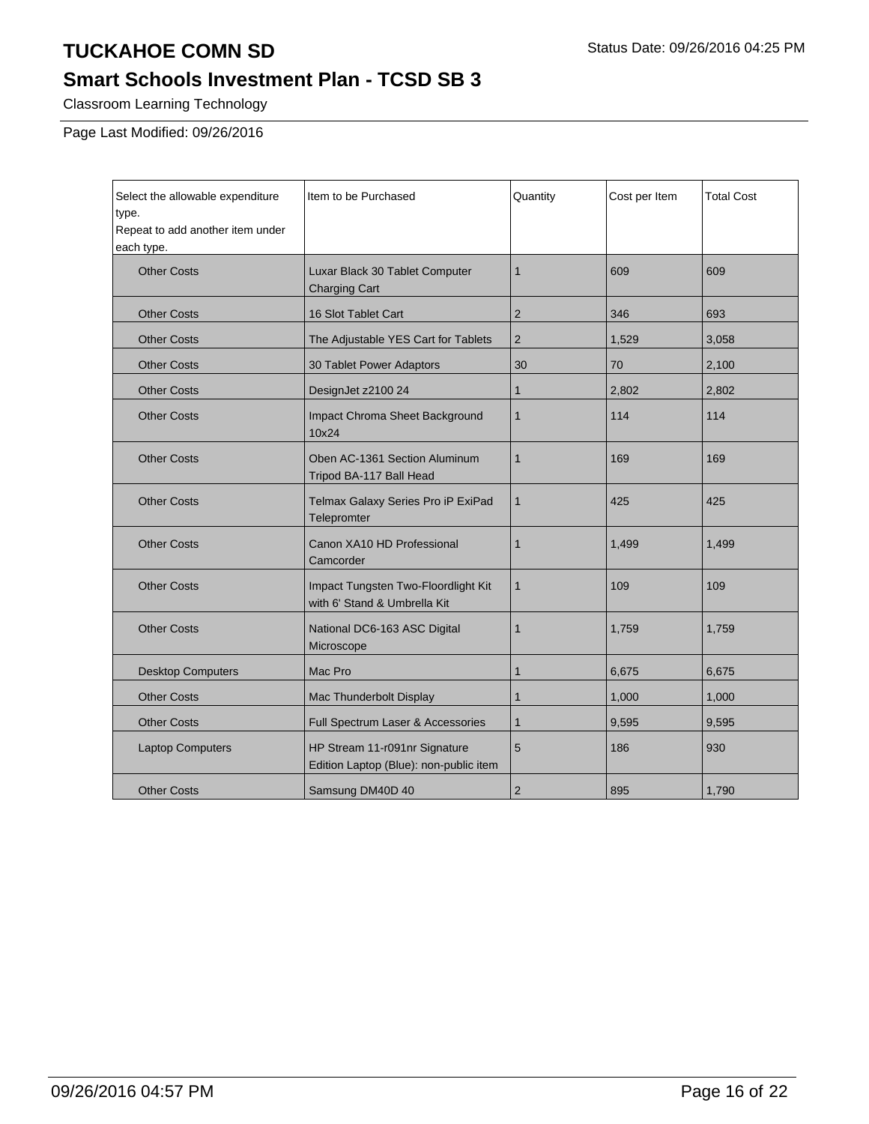## **Smart Schools Investment Plan - TCSD SB 3**

Classroom Learning Technology

Page Last Modified: 09/26/2016

| Select the allowable expenditure<br>type.<br>Repeat to add another item under<br>each type. | Item to be Purchased                                                    | Quantity       | Cost per Item | <b>Total Cost</b> |
|---------------------------------------------------------------------------------------------|-------------------------------------------------------------------------|----------------|---------------|-------------------|
| <b>Other Costs</b>                                                                          | Luxar Black 30 Tablet Computer<br><b>Charging Cart</b>                  | $\mathbf 1$    | 609           | 609               |
| <b>Other Costs</b>                                                                          | 16 Slot Tablet Cart                                                     | $\overline{2}$ | 346           | 693               |
| <b>Other Costs</b>                                                                          | The Adjustable YES Cart for Tablets                                     | $\overline{2}$ | 1,529         | 3,058             |
| <b>Other Costs</b>                                                                          | 30 Tablet Power Adaptors                                                | 30             | 70            | 2.100             |
| <b>Other Costs</b>                                                                          | DesignJet z2100 24                                                      | $\mathbf{1}$   | 2,802         | 2,802             |
| <b>Other Costs</b>                                                                          | Impact Chroma Sheet Background<br>10x24                                 | 1              | 114           | 114               |
| <b>Other Costs</b>                                                                          | Oben AC-1361 Section Aluminum<br>Tripod BA-117 Ball Head                | 1              | 169           | 169               |
| <b>Other Costs</b>                                                                          | Telmax Galaxy Series Pro iP ExiPad<br>Telepromter                       | $\mathbf{1}$   | 425           | 425               |
| <b>Other Costs</b>                                                                          | Canon XA10 HD Professional<br>Camcorder                                 | 1              | 1,499         | 1,499             |
| <b>Other Costs</b>                                                                          | Impact Tungsten Two-Floordlight Kit<br>with 6' Stand & Umbrella Kit     | 1              | 109           | 109               |
| <b>Other Costs</b>                                                                          | National DC6-163 ASC Digital<br>Microscope                              | $\mathbf 1$    | 1,759         | 1,759             |
| <b>Desktop Computers</b>                                                                    | Mac Pro                                                                 | 1              | 6,675         | 6,675             |
| <b>Other Costs</b>                                                                          | Mac Thunderbolt Display                                                 | 1              | 1,000         | 1,000             |
| <b>Other Costs</b>                                                                          | Full Spectrum Laser & Accessories                                       | $\mathbf{1}$   | 9,595         | 9,595             |
| <b>Laptop Computers</b>                                                                     | HP Stream 11-r091nr Signature<br>Edition Laptop (Blue): non-public item | 5              | 186           | 930               |
| <b>Other Costs</b>                                                                          | Samsung DM40D 40                                                        | $\mathbf 2$    | 895           | 1,790             |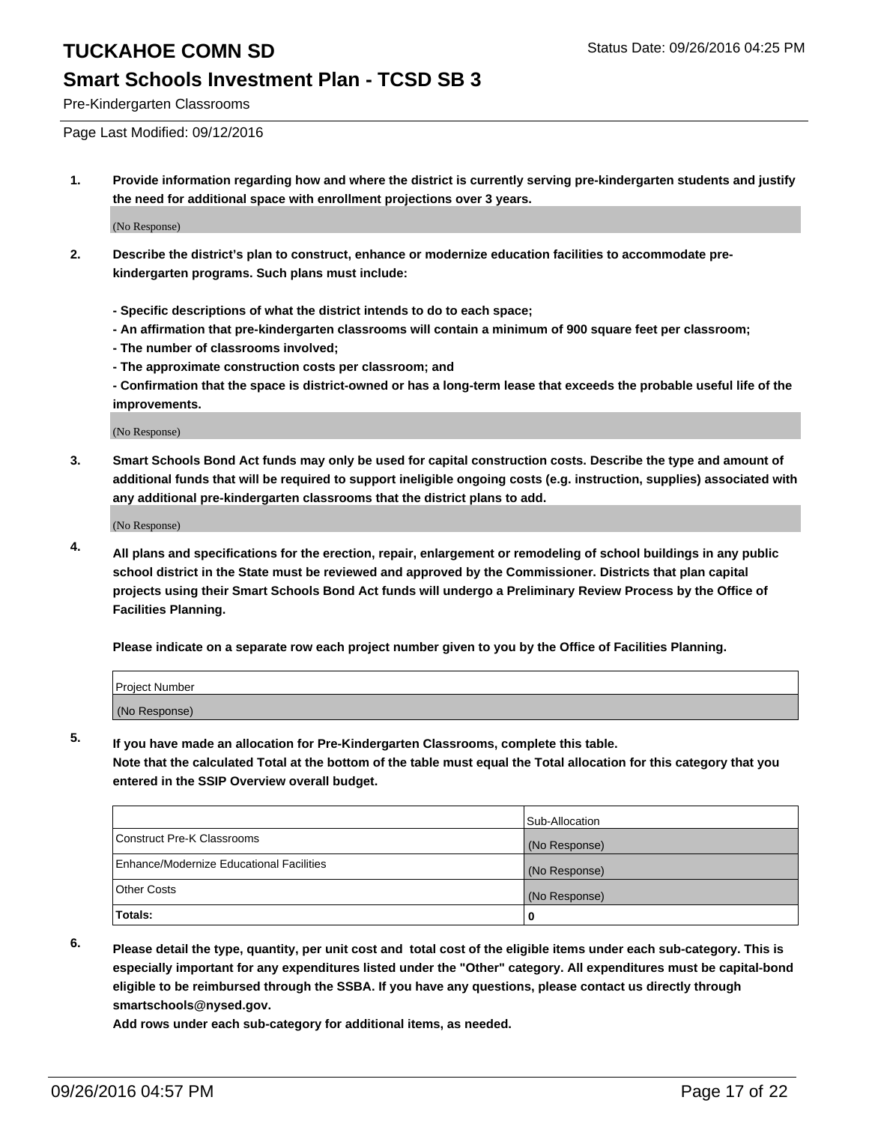### **Smart Schools Investment Plan - TCSD SB 3**

Pre-Kindergarten Classrooms

Page Last Modified: 09/12/2016

**1. Provide information regarding how and where the district is currently serving pre-kindergarten students and justify the need for additional space with enrollment projections over 3 years.**

(No Response)

- **2. Describe the district's plan to construct, enhance or modernize education facilities to accommodate prekindergarten programs. Such plans must include:**
	- **Specific descriptions of what the district intends to do to each space;**
	- **An affirmation that pre-kindergarten classrooms will contain a minimum of 900 square feet per classroom;**
	- **The number of classrooms involved;**
	- **The approximate construction costs per classroom; and**
	- **Confirmation that the space is district-owned or has a long-term lease that exceeds the probable useful life of the improvements.**

(No Response)

**3. Smart Schools Bond Act funds may only be used for capital construction costs. Describe the type and amount of additional funds that will be required to support ineligible ongoing costs (e.g. instruction, supplies) associated with any additional pre-kindergarten classrooms that the district plans to add.**

(No Response)

**4. All plans and specifications for the erection, repair, enlargement or remodeling of school buildings in any public school district in the State must be reviewed and approved by the Commissioner. Districts that plan capital projects using their Smart Schools Bond Act funds will undergo a Preliminary Review Process by the Office of Facilities Planning.**

**Please indicate on a separate row each project number given to you by the Office of Facilities Planning.**

| Project Number |  |  |
|----------------|--|--|
| (No Response)  |  |  |

**5. If you have made an allocation for Pre-Kindergarten Classrooms, complete this table.**

**Note that the calculated Total at the bottom of the table must equal the Total allocation for this category that you entered in the SSIP Overview overall budget.**

|                                          | Sub-Allocation |
|------------------------------------------|----------------|
| Construct Pre-K Classrooms               | (No Response)  |
| Enhance/Modernize Educational Facilities | (No Response)  |
| Other Costs                              | (No Response)  |
| <b>Totals:</b>                           |                |

**6. Please detail the type, quantity, per unit cost and total cost of the eligible items under each sub-category. This is especially important for any expenditures listed under the "Other" category. All expenditures must be capital-bond**

**eligible to be reimbursed through the SSBA. If you have any questions, please contact us directly through smartschools@nysed.gov.**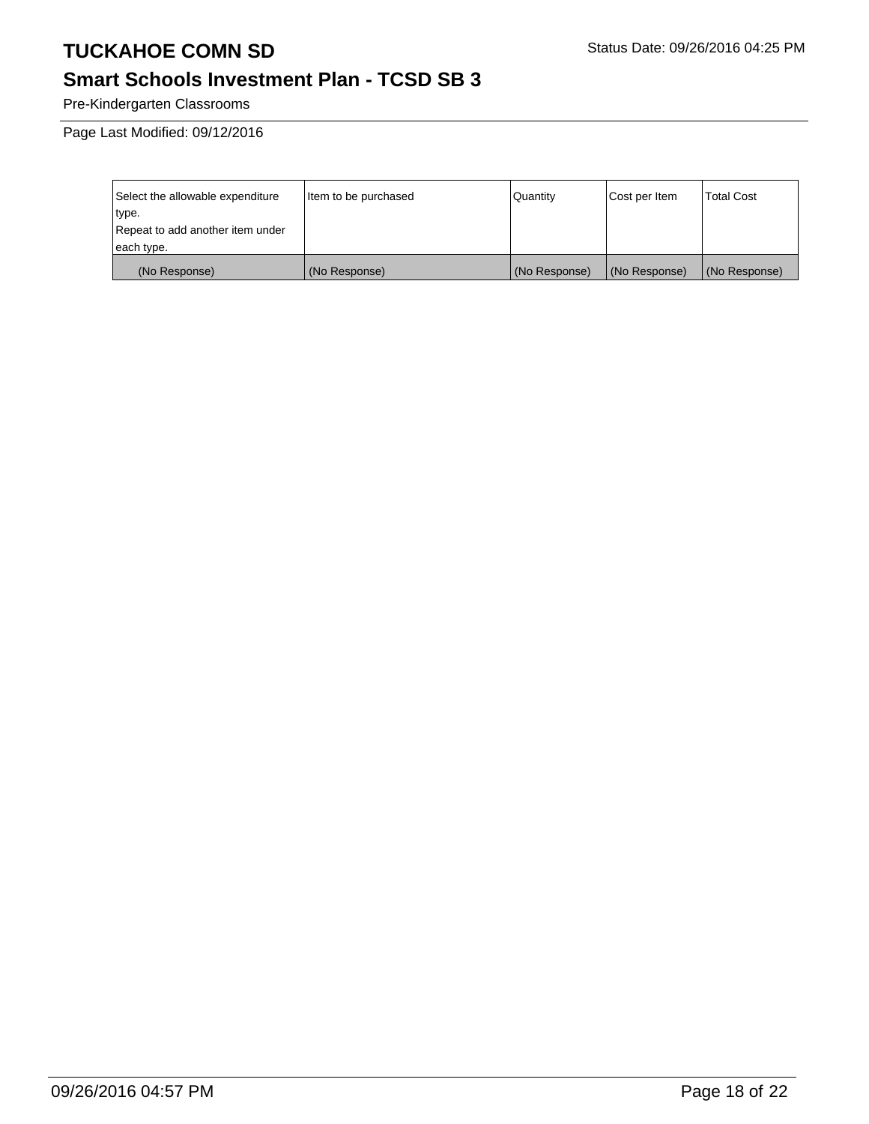## **Smart Schools Investment Plan - TCSD SB 3**

Pre-Kindergarten Classrooms

Page Last Modified: 09/12/2016

| Select the allowable expenditure | Item to be purchased | Quantity      | Cost per Item | <b>Total Cost</b> |
|----------------------------------|----------------------|---------------|---------------|-------------------|
| type.                            |                      |               |               |                   |
| Repeat to add another item under |                      |               |               |                   |
| each type.                       |                      |               |               |                   |
| (No Response)                    | (No Response)        | (No Response) | (No Response) | (No Response)     |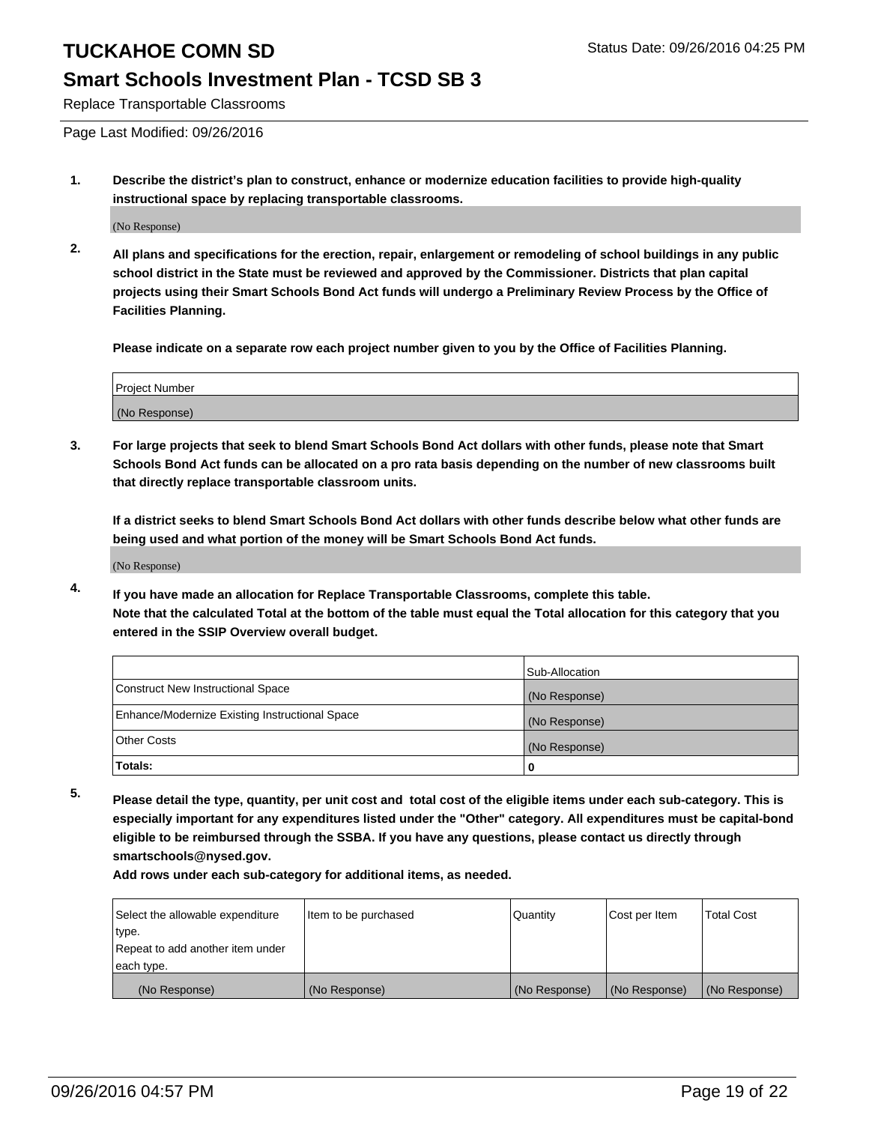### **Smart Schools Investment Plan - TCSD SB 3**

Replace Transportable Classrooms

Page Last Modified: 09/26/2016

**1. Describe the district's plan to construct, enhance or modernize education facilities to provide high-quality instructional space by replacing transportable classrooms.**

(No Response)

**2. All plans and specifications for the erection, repair, enlargement or remodeling of school buildings in any public school district in the State must be reviewed and approved by the Commissioner. Districts that plan capital projects using their Smart Schools Bond Act funds will undergo a Preliminary Review Process by the Office of Facilities Planning.**

**Please indicate on a separate row each project number given to you by the Office of Facilities Planning.**

| Project Number |  |
|----------------|--|
| (No Response)  |  |

**3. For large projects that seek to blend Smart Schools Bond Act dollars with other funds, please note that Smart Schools Bond Act funds can be allocated on a pro rata basis depending on the number of new classrooms built that directly replace transportable classroom units.**

**If a district seeks to blend Smart Schools Bond Act dollars with other funds describe below what other funds are being used and what portion of the money will be Smart Schools Bond Act funds.**

(No Response)

**4. If you have made an allocation for Replace Transportable Classrooms, complete this table. Note that the calculated Total at the bottom of the table must equal the Total allocation for this category that you entered in the SSIP Overview overall budget.**

|                                                | Sub-Allocation |
|------------------------------------------------|----------------|
| Construct New Instructional Space              | (No Response)  |
| Enhance/Modernize Existing Instructional Space | (No Response)  |
| Other Costs                                    | (No Response)  |
| Totals:                                        | 0              |

**5. Please detail the type, quantity, per unit cost and total cost of the eligible items under each sub-category. This is especially important for any expenditures listed under the "Other" category. All expenditures must be capital-bond eligible to be reimbursed through the SSBA. If you have any questions, please contact us directly through smartschools@nysed.gov.**

| Select the allowable expenditure | Item to be purchased | Quantity      | Cost per Item | Total Cost    |
|----------------------------------|----------------------|---------------|---------------|---------------|
| type.                            |                      |               |               |               |
| Repeat to add another item under |                      |               |               |               |
| each type.                       |                      |               |               |               |
| (No Response)                    | (No Response)        | (No Response) | (No Response) | (No Response) |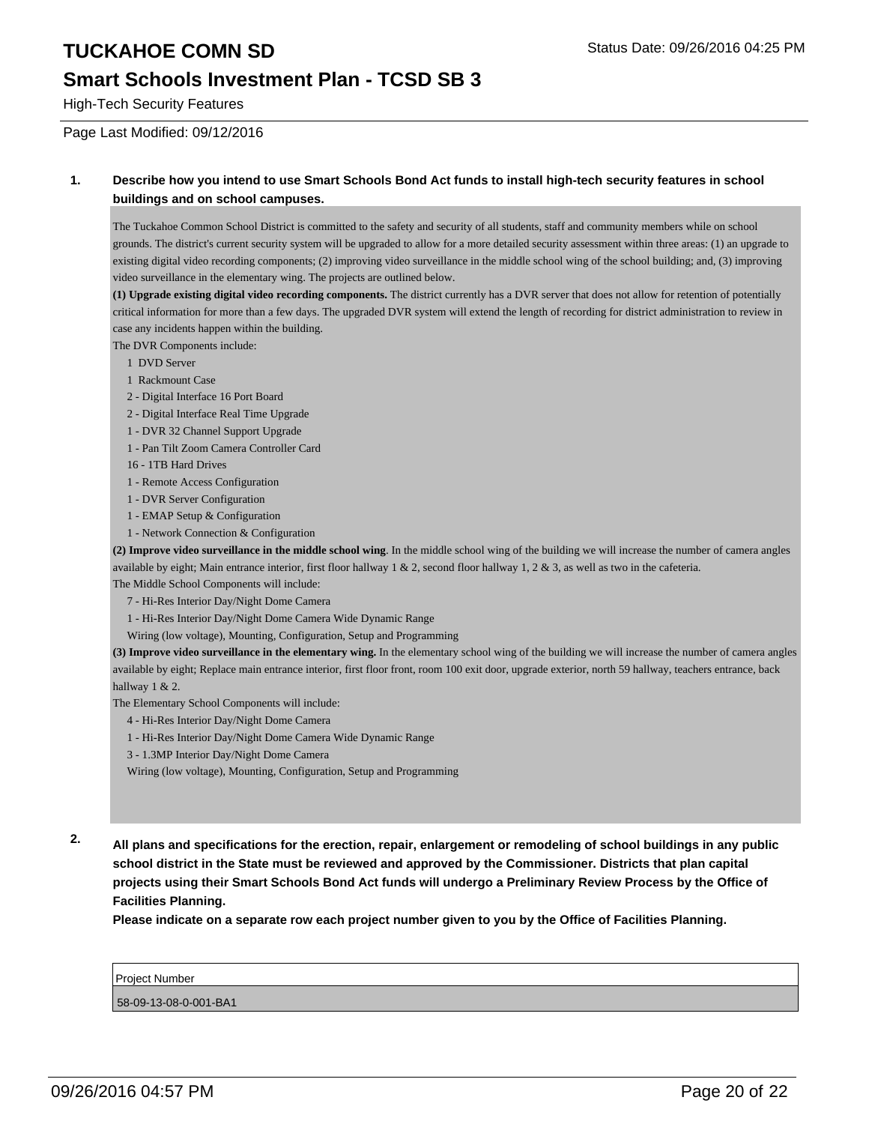### **Smart Schools Investment Plan - TCSD SB 3**

High-Tech Security Features

Page Last Modified: 09/12/2016

#### **1. Describe how you intend to use Smart Schools Bond Act funds to install high-tech security features in school buildings and on school campuses.**

The Tuckahoe Common School District is committed to the safety and security of all students, staff and community members while on school grounds. The district's current security system will be upgraded to allow for a more detailed security assessment within three areas: (1) an upgrade to existing digital video recording components; (2) improving video surveillance in the middle school wing of the school building; and, (3) improving video surveillance in the elementary wing. The projects are outlined below.

**(1) Upgrade existing digital video recording components.** The district currently has a DVR server that does not allow for retention of potentially critical information for more than a few days. The upgraded DVR system will extend the length of recording for district administration to review in case any incidents happen within the building.

The DVR Components include:

- 1 DVD Server
- 1 Rackmount Case
- 2 Digital Interface 16 Port Board
- 2 Digital Interface Real Time Upgrade
- 1 DVR 32 Channel Support Upgrade
- 1 Pan Tilt Zoom Camera Controller Card
- 16 1TB Hard Drives
- 1 Remote Access Configuration
- 1 DVR Server Configuration
- 1 EMAP Setup & Configuration
- 1 Network Connection & Configuration

**(2) Improve video surveillance in the middle school wing**. In the middle school wing of the building we will increase the number of camera angles available by eight; Main entrance interior, first floor hallway  $1 \& 2$ , second floor hallway  $1, 2 \& 3$ , as well as two in the cafeteria. The Middle School Components will include:

- 7 Hi-Res Interior Day/Night Dome Camera
- 1 Hi-Res Interior Day/Night Dome Camera Wide Dynamic Range
- Wiring (low voltage), Mounting, Configuration, Setup and Programming

**(3) Improve video surveillance in the elementary wing.** In the elementary school wing of the building we will increase the number of camera angles available by eight; Replace main entrance interior, first floor front, room 100 exit door, upgrade exterior, north 59 hallway, teachers entrance, back hallway 1 & 2.

The Elementary School Components will include:

- 4 Hi-Res Interior Day/Night Dome Camera
- 1 Hi-Res Interior Day/Night Dome Camera Wide Dynamic Range
- 3 1.3MP Interior Day/Night Dome Camera
- Wiring (low voltage), Mounting, Configuration, Setup and Programming

**2. All plans and specifications for the erection, repair, enlargement or remodeling of school buildings in any public school district in the State must be reviewed and approved by the Commissioner. Districts that plan capital projects using their Smart Schools Bond Act funds will undergo a Preliminary Review Process by the Office of Facilities Planning.** 

**Please indicate on a separate row each project number given to you by the Office of Facilities Planning.**

| <b>Project Number</b> |  |
|-----------------------|--|
|-----------------------|--|

58-09-13-08-0-001-BA1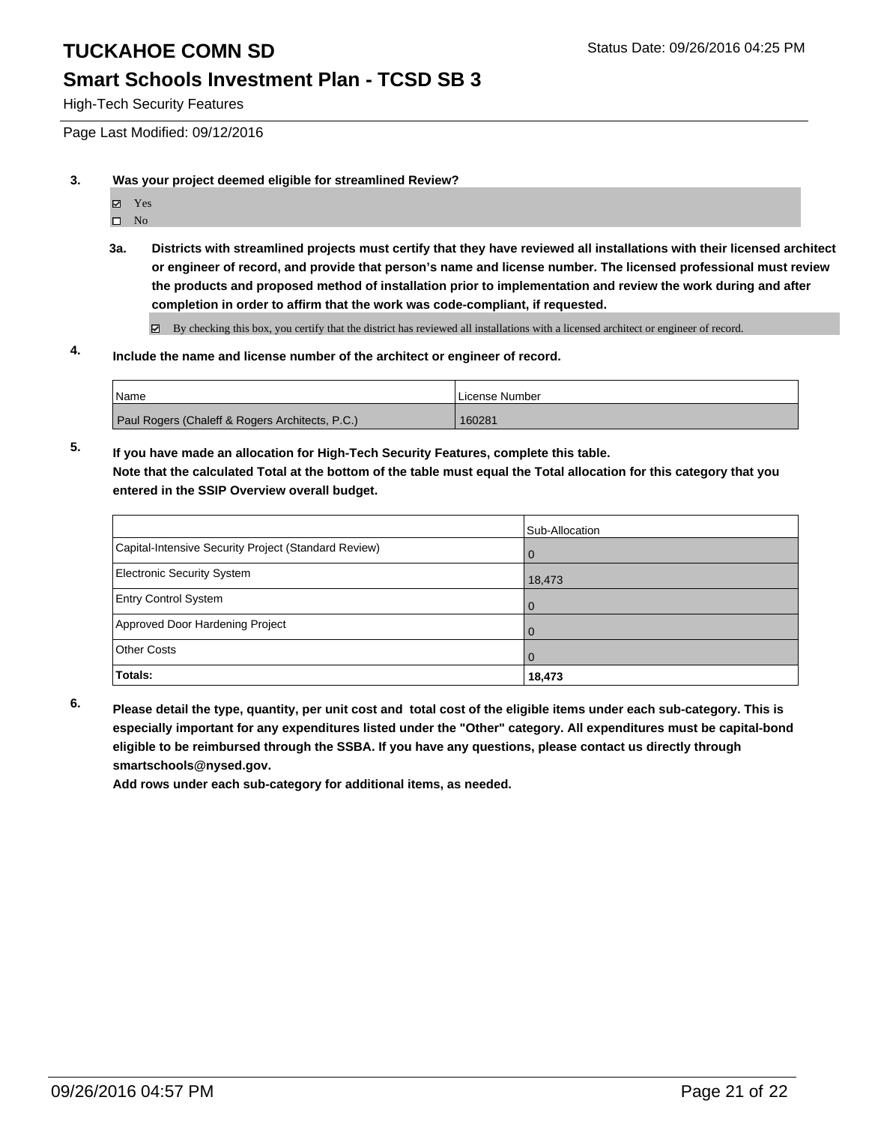### **Smart Schools Investment Plan - TCSD SB 3**

High-Tech Security Features

Page Last Modified: 09/12/2016

- **3. Was your project deemed eligible for streamlined Review?**
	- Yes
	- $\square$  No
	- **3a. Districts with streamlined projects must certify that they have reviewed all installations with their licensed architect or engineer of record, and provide that person's name and license number. The licensed professional must review the products and proposed method of installation prior to implementation and review the work during and after completion in order to affirm that the work was code-compliant, if requested.**

By checking this box, you certify that the district has reviewed all installations with a licensed architect or engineer of record.

## **4. Include the name and license number of the architect or engineer of record.**

| l Name                                          | l License Number |
|-------------------------------------------------|------------------|
| Paul Rogers (Chaleff & Rogers Architects, P.C.) | 160281           |

**5. If you have made an allocation for High-Tech Security Features, complete this table. Note that the calculated Total at the bottom of the table must equal the Total allocation for this category that you entered in the SSIP Overview overall budget.**

|                                                      | Sub-Allocation |
|------------------------------------------------------|----------------|
| Capital-Intensive Security Project (Standard Review) | l 0            |
| <b>Electronic Security System</b>                    | 18,473         |
| <b>Entry Control System</b>                          | $\Omega$       |
| Approved Door Hardening Project                      | $\Omega$       |
| <b>Other Costs</b>                                   |                |
| Totals:                                              | 18,473         |

**6. Please detail the type, quantity, per unit cost and total cost of the eligible items under each sub-category. This is especially important for any expenditures listed under the "Other" category. All expenditures must be capital-bond eligible to be reimbursed through the SSBA. If you have any questions, please contact us directly through smartschools@nysed.gov.**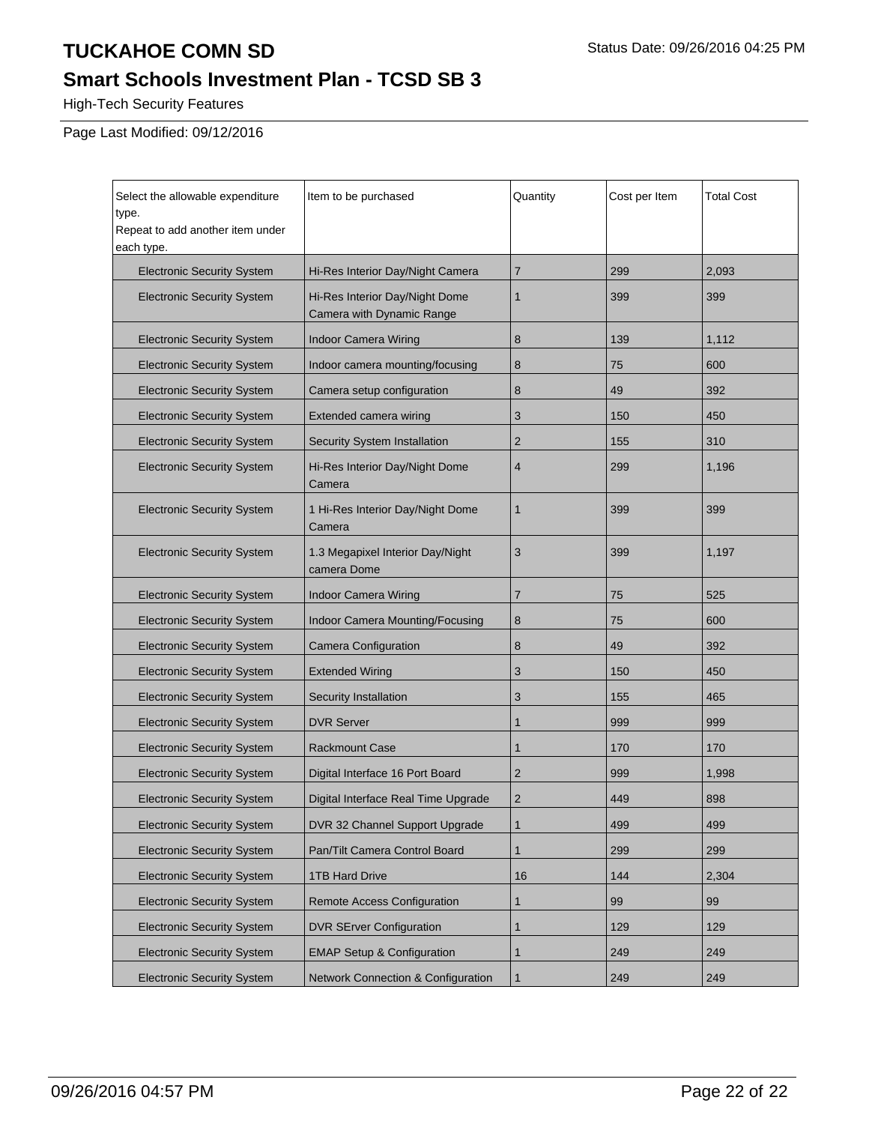## **Smart Schools Investment Plan - TCSD SB 3**

High-Tech Security Features

Page Last Modified: 09/12/2016

| Select the allowable expenditure               | Item to be purchased                                        | Quantity       | Cost per Item | <b>Total Cost</b> |
|------------------------------------------------|-------------------------------------------------------------|----------------|---------------|-------------------|
| type.                                          |                                                             |                |               |                   |
| Repeat to add another item under<br>each type. |                                                             |                |               |                   |
| <b>Electronic Security System</b>              | Hi-Res Interior Day/Night Camera                            | $\overline{7}$ | 299           | 2.093             |
| <b>Electronic Security System</b>              | Hi-Res Interior Day/Night Dome<br>Camera with Dynamic Range | 1              | 399           | 399               |
| <b>Electronic Security System</b>              | <b>Indoor Camera Wiring</b>                                 | 8              | 139           | 1,112             |
| <b>Electronic Security System</b>              | Indoor camera mounting/focusing                             | 8              | 75            | 600               |
| <b>Electronic Security System</b>              | Camera setup configuration                                  | 8              | 49            | 392               |
| <b>Electronic Security System</b>              | Extended camera wiring                                      | 3              | 150           | 450               |
| <b>Electronic Security System</b>              | Security System Installation                                | $\overline{2}$ | 155           | 310               |
| <b>Electronic Security System</b>              | Hi-Res Interior Day/Night Dome<br>Camera                    | $\overline{4}$ | 299           | 1,196             |
| <b>Electronic Security System</b>              | 1 Hi-Res Interior Day/Night Dome<br>Camera                  | $\mathbf{1}$   | 399           | 399               |
| <b>Electronic Security System</b>              | 1.3 Megapixel Interior Day/Night<br>camera Dome             | 3              | 399           | 1,197             |
| <b>Electronic Security System</b>              | Indoor Camera Wiring                                        | $\overline{7}$ | 75            | 525               |
| <b>Electronic Security System</b>              | Indoor Camera Mounting/Focusing                             | 8              | 75            | 600               |
| <b>Electronic Security System</b>              | <b>Camera Configuration</b>                                 | 8              | 49            | 392               |
| <b>Electronic Security System</b>              | <b>Extended Wiring</b>                                      | 3              | 150           | 450               |
| <b>Electronic Security System</b>              | Security Installation                                       | 3              | 155           | 465               |
| <b>Electronic Security System</b>              | <b>DVR Server</b>                                           | 1              | 999           | 999               |
| <b>Electronic Security System</b>              | <b>Rackmount Case</b>                                       | 1              | 170           | 170               |
| <b>Electronic Security System</b>              | Digital Interface 16 Port Board                             | $\overline{2}$ | 999           | 1,998             |
| <b>Electronic Security System</b>              | Digital Interface Real Time Upgrade                         | $\overline{2}$ | 449           | 898               |
| <b>Electronic Security System</b>              | DVR 32 Channel Support Upgrade                              | $\mathbf{1}$   | 499           | 499               |
| <b>Electronic Security System</b>              | Pan/Tilt Camera Control Board                               | $\mathbf{1}$   | 299           | 299               |
| <b>Electronic Security System</b>              | 1TB Hard Drive                                              | 16             | 144           | 2,304             |
| <b>Electronic Security System</b>              | Remote Access Configuration                                 | 1              | 99            | 99                |
| <b>Electronic Security System</b>              | <b>DVR SErver Configuration</b>                             | $\mathbf{1}$   | 129           | 129               |
| <b>Electronic Security System</b>              | <b>EMAP Setup &amp; Configuration</b>                       | $\mathbf{1}$   | 249           | 249               |
| <b>Electronic Security System</b>              | Network Connection & Configuration                          | $\mathbf{1}$   | 249           | 249               |